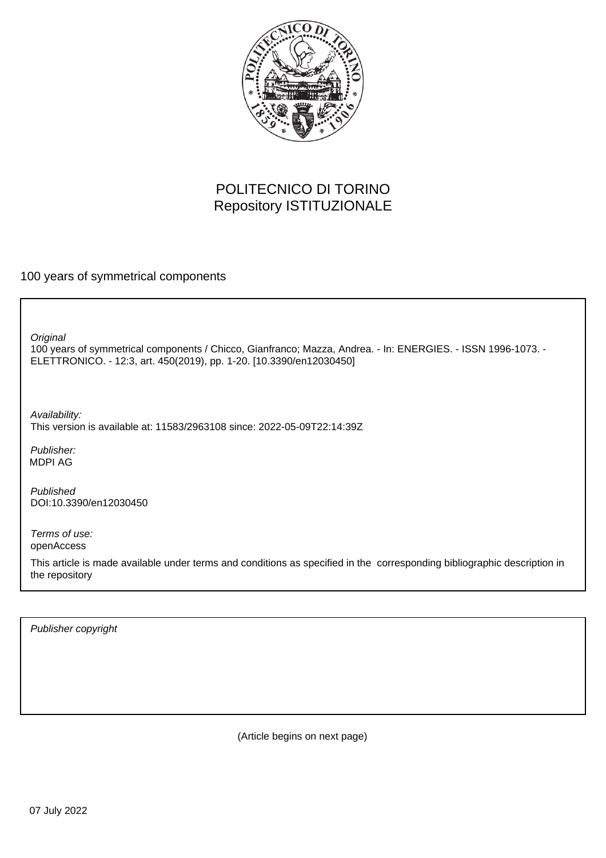

# POLITECNICO DI TORINO Repository ISTITUZIONALE

100 years of symmetrical components

100 years of symmetrical components / Chicco, Gianfranco; Mazza, Andrea. - In: ENERGIES. - ISSN 1996-1073. - ELETTRONICO. - 12:3, art. 450(2019), pp. 1-20. [10.3390/en12030450] **Original** 

Availability: This version is available at: 11583/2963108 since: 2022-05-09T22:14:39Z

Publisher: MDPI AG

Published DOI:10.3390/en12030450

Terms of use: openAccess

This article is made available under terms and conditions as specified in the corresponding bibliographic description in the repository

Publisher copyright

(Article begins on next page)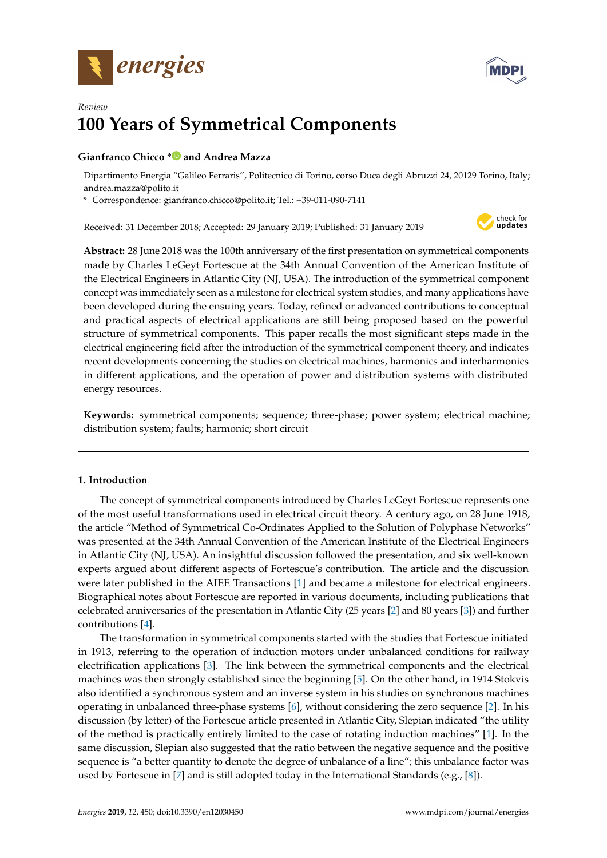



# *Review* **100 Years of Symmetrical Components**

# **Gianfranco Chicco [\\*](https://orcid.org/0000-0001-7885-8013) and Andrea Mazza**

Dipartimento Energia "Galileo Ferraris", Politecnico di Torino, corso Duca degli Abruzzi 24, 20129 Torino, Italy; andrea.mazza@polito.it

**\*** Correspondence: gianfranco.chicco@polito.it; Tel.: +39-011-090-7141

Received: 31 December 2018; Accepted: 29 January 2019; Published: 31 January 2019



**Abstract:** 28 June 2018 was the 100th anniversary of the first presentation on symmetrical components made by Charles LeGeyt Fortescue at the 34th Annual Convention of the American Institute of the Electrical Engineers in Atlantic City (NJ, USA). The introduction of the symmetrical component concept was immediately seen as a milestone for electrical system studies, and many applications have been developed during the ensuing years. Today, refined or advanced contributions to conceptual and practical aspects of electrical applications are still being proposed based on the powerful structure of symmetrical components. This paper recalls the most significant steps made in the electrical engineering field after the introduction of the symmetrical component theory, and indicates recent developments concerning the studies on electrical machines, harmonics and interharmonics in different applications, and the operation of power and distribution systems with distributed energy resources.

**Keywords:** symmetrical components; sequence; three-phase; power system; electrical machine; distribution system; faults; harmonic; short circuit

# **1. Introduction**

The concept of symmetrical components introduced by Charles LeGeyt Fortescue represents one of the most useful transformations used in electrical circuit theory. A century ago, on 28 June 1918, the article "Method of Symmetrical Co-Ordinates Applied to the Solution of Polyphase Networks" was presented at the 34th Annual Convention of the American Institute of the Electrical Engineers in Atlantic City (NJ, USA). An insightful discussion followed the presentation, and six well-known experts argued about different aspects of Fortescue's contribution. The article and the discussion were later published in the AIEE Transactions [1] and became a milestone for electrical engineers. Biographical notes about Fortescue are reported in various documents, including publications that celebrated anniversaries of the presentation in Atlantic City (25 years [2] and 80 years [3]) and further contributions [4].

The transformation in symmetrical components started with the studies that Fortescue initiated in 1913, referring to the operation of induction motors under unbalanced conditions for railway electrification applications [3]. The link between the symmetrical components and the electrical machines was then strongly established since the beginning [5]. On the other hand, in 1914 Stokvis also identified a synchronous system and an inverse system in his studies on synchronous machines operating in unbalanced three-phase systems [6], without considering the zero sequence [2]. In his discussion (by letter) of the Fortescue article presented in Atlantic City, Slepian indicated "the utility of the method is practically entirely limited to the case of rotating induction machines" [1]. In the same discussion, Slepian also suggested that the ratio between the negative sequence and the positive sequence is "a better quantity to denote the degree of unbalance of a line"; this unbalance factor was used by Fortescue in [7] and is still adopted today in the International Standards (e.g., [8]).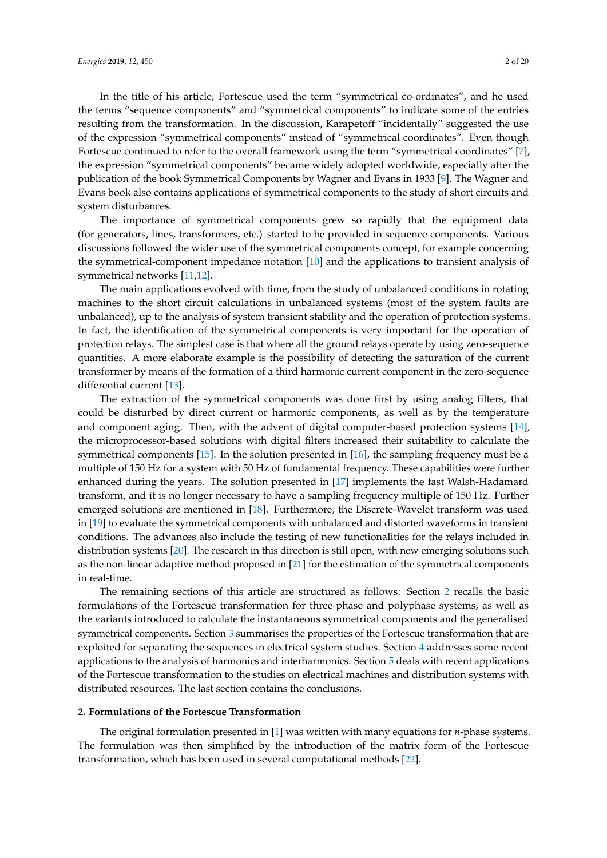In the title of his article, Fortescue used the term "symmetrical co-ordinates", and he used the terms "sequence components" and "symmetrical components" to indicate some of the entries resulting from the transformation. In the discussion, Karapetoff "incidentally" suggested the use of the expression "symmetrical components" instead of "symmetrical coordinates". Even though Fortescue continued to refer to the overall framework using the term "symmetrical coordinates" [7], the expression "symmetrical components" became widely adopted worldwide, especially after the publication of the book Symmetrical Components by Wagner and Evans in 1933 [9]. The Wagner and Evans book also contains applications of symmetrical components to the study of short circuits and system disturbances.

The importance of symmetrical components grew so rapidly that the equipment data (for generators, lines, transformers, etc.) started to be provided in sequence components. Various discussions followed the wider use of the symmetrical components concept, for example concerning the symmetrical-component impedance notation [10] and the applications to transient analysis of symmetrical networks [11,12].

The main applications evolved with time, from the study of unbalanced conditions in rotating machines to the short circuit calculations in unbalanced systems (most of the system faults are unbalanced), up to the analysis of system transient stability and the operation of protection systems. In fact, the identification of the symmetrical components is very important for the operation of protection relays. The simplest case is that where all the ground relays operate by using zero-sequence quantities. A more elaborate example is the possibility of detecting the saturation of the current transformer by means of the formation of a third harmonic current component in the zero-sequence differential current [13].

The extraction of the symmetrical components was done first by using analog filters, that could be disturbed by direct current or harmonic components, as well as by the temperature and component aging. Then, with the advent of digital computer-based protection systems [14], the microprocessor-based solutions with digital filters increased their suitability to calculate the symmetrical components [15]. In the solution presented in [16], the sampling frequency must be a multiple of 150 Hz for a system with 50 Hz of fundamental frequency. These capabilities were further enhanced during the years. The solution presented in [17] implements the fast Walsh-Hadamard transform, and it is no longer necessary to have a sampling frequency multiple of 150 Hz. Further emerged solutions are mentioned in [18]. Furthermore, the Discrete-Wavelet transform was used in [19] to evaluate the symmetrical components with unbalanced and distorted waveforms in transient conditions. The advances also include the testing of new functionalities for the relays included in distribution systems [20]. The research in this direction is still open, with new emerging solutions such as the non-linear adaptive method proposed in [21] for the estimation of the symmetrical components in real-time.

The remaining sections of this article are structured as follows: Section 2 recalls the basic formulations of the Fortescue transformation for three-phase and polyphase systems, as well as the variants introduced to calculate the instantaneous symmetrical components and the generalised symmetrical components. Section 3 summarises the properties of the Fortescue transformation that are exploited for separating the sequences in electrical system studies. Section 4 addresses some recent applications to the analysis of harmonics and interharmonics. Section 5 deals with recent applications of the Fortescue transformation to the studies on electrical machines and distribution systems with distributed resources. The last section contains the conclusions.

#### **2. Formulations of the Fortescue Transformation**

The original formulation presented in [1] was written with many equations for *n*-phase systems. The formulation was then simplified by the introduction of the matrix form of the Fortescue transformation, which has been used in several computational methods [22].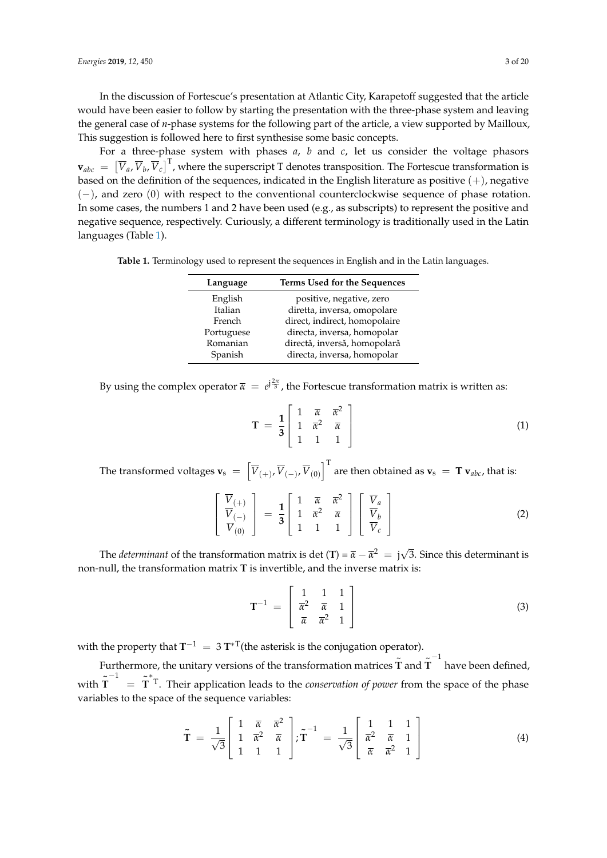In the discussion of Fortescue's presentation at Atlantic City, Karapetoff suggested that the article would have been easier to follow by starting the presentation with the three-phase system and leaving the general case of *n*-phase systems for the following part of the article, a view supported by Mailloux, This suggestion is followed here to first synthesise some basic concepts.

For a three-phase system with phases *a*, *b* and *c*, let us consider the voltage phasors  $\mathbf{v}_{abc}~=~\left[ \overline{V}_a,\overline{V}_b,\overline{V}_c\right]^{\rm T}$ , where the superscript T denotes transposition. The Fortescue transformation is based on the definition of the sequences, indicated in the English literature as positive  $(+)$ , negative (−), and zero (0) with respect to the conventional counterclockwise sequence of phase rotation. In some cases, the numbers 1 and 2 have been used (e.g., as subscripts) to represent the positive and negative sequence, respectively. Curiously, a different terminology is traditionally used in the Latin languages (Table 1).

**Table 1.** Terminology used to represent the sequences in English and in the Latin languages.

| Language   | Terms Used for the Sequences  |
|------------|-------------------------------|
| English    | positive, negative, zero      |
| Italian    | diretta, inversa, omopolare   |
| French     | direct, indirect, homopolaire |
| Portuguese | directa, inversa, homopolar   |
| Romanian   | directă, inversă, homopolară  |
| Spanish    | directa, inversa, homopolar   |

By using the complex operator  $\bar{\alpha} = e^{j\frac{2\pi}{3}}$ , the Fortescue transformation matrix is written as:

$$
\mathbf{T} = \frac{1}{3} \left[ \begin{array}{ccc} 1 & \overline{\alpha} & \overline{\alpha}^2 \\ 1 & \overline{\alpha}^2 & \overline{\alpha} \\ 1 & 1 & 1 \end{array} \right] \tag{1}
$$

The transformed voltages  $\mathbf{v}_{\rm s}~=~\left[ \overline{V}_{(+)} , \overline{V}_{(-)} , \overline{V}_{(0)} \right]^{\rm T}$  are then obtained as  $\mathbf{v}_{\rm s}~=~{\rm\bf T}\,\mathbf{v}_{abc}$ , that is:

$$
\begin{bmatrix}\n\overline{V}_{(+)} \\
\overline{V}_{(-)} \\
\overline{V}_{(0)}\n\end{bmatrix} = \frac{1}{3} \begin{bmatrix}\n1 & \overline{\alpha} & \overline{\alpha}^2 \\
1 & \overline{\alpha}^2 & \overline{\alpha} \\
1 & 1 & 1\n\end{bmatrix} \begin{bmatrix}\n\overline{V}_a \\
\overline{V}_b \\
\overline{V}_c\n\end{bmatrix}
$$
\n(2)

The *determinant* of the transformation matrix is det (**T**) =  $\bar{\alpha} - \bar{\alpha}^2 = j\sqrt{2}$ 3. Since this determinant is non-null, the transformation matrix **T** is invertible, and the inverse matrix is:

$$
\mathbf{T}^{-1} = \begin{bmatrix} 1 & 1 & 1 \\ \overline{\alpha}^2 & \overline{\alpha} & 1 \\ \overline{\alpha} & \overline{\alpha}^2 & 1 \end{bmatrix}
$$
 (3)

with the property that  $T^{-1} = 3 T^{*T}$ (the asterisk is the conjugation operator).

Furthermore, the unitary versions of the transformation matrices  $\tilde{\mathbf{T}}$  and  $\tilde{\mathbf{T}}$ −1 have been defined, with **~ T**  $\tilde{\mathbf{T}}$  =  $\tilde{\mathbf{T}}$ ∗ T . Their application leads to the *conservation of power* from the space of the phase variables to the space of the sequence variables:

$$
\tilde{\mathbf{T}} = \frac{1}{\sqrt{3}} \begin{bmatrix} 1 & \overline{\alpha} & \overline{\alpha}^2 \\ 1 & \overline{\alpha}^2 & \overline{\alpha} \\ 1 & 1 & 1 \end{bmatrix}; \tilde{\mathbf{T}}^{-1} = \frac{1}{\sqrt{3}} \begin{bmatrix} 1 & 1 & 1 \\ \overline{\alpha}^2 & \overline{\alpha} & 1 \\ \overline{\alpha} & \overline{\alpha}^2 & 1 \end{bmatrix} \tag{4}
$$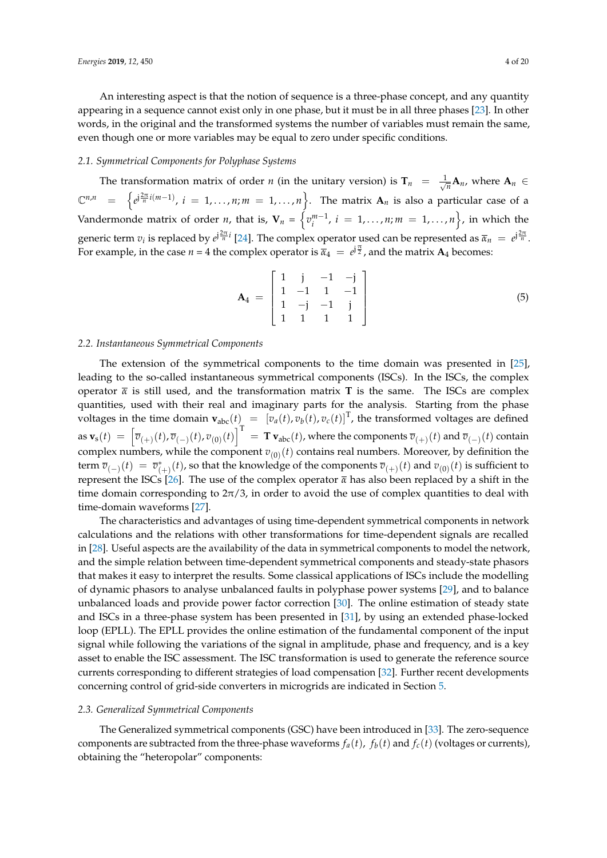An interesting aspect is that the notion of sequence is a three-phase concept, and any quantity appearing in a sequence cannot exist only in one phase, but it must be in all three phases [23]. In other words, in the original and the transformed systems the number of variables must remain the same, even though one or more variables may be equal to zero under specific conditions.

# *2.1. Symmetrical Components for Polyphase Systems*

The transformation matrix of order *n* (in the unitary version) is  $\mathbf{T}_n = \frac{1}{\sqrt{n}}$  $\frac{1}{n}$ **A**<sub>*n*</sub>, where **A**<sub>*n*</sub> ∈  $\mathbb{C}^{n,n}$  =  $\left\{e^{j\frac{2\pi}{n}i(m-1)}, i = 1,\ldots,n; m = 1,\ldots,n\right\}$ . The matrix  $\mathbf{A}_n$  is also a particular case of a Vandermonde matrix of order *n*, that is,  $V_n = \left\{v_i^{m-1}, i = 1, ..., n; m = 1, ..., n\right\}$ , in which the generic term  $v_i$  is replaced by  $e^{j\frac{2\pi}{n}i}$  [24]. The complex operator used can be represented as  $\overline{\alpha}_n = e^{j\frac{2\pi}{n}}$ . For example, in the case  $n = 4$  the complex operator is  $\bar{\alpha}_4 = e^{j\frac{\pi}{2}}$ , and the matrix  $\mathbf{A}_4$  becomes:

$$
\mathbf{A}_4 = \begin{bmatrix} 1 & j & -1 & -j \\ 1 & -1 & 1 & -1 \\ 1 & -j & -1 & j \\ 1 & 1 & 1 & 1 \end{bmatrix} \tag{5}
$$

# *2.2. Instantaneous Symmetrical Components*

The extension of the symmetrical components to the time domain was presented in [25], leading to the so-called instantaneous symmetrical components (ISCs). In the ISCs, the complex operator  $\bar{\alpha}$  is still used, and the transformation matrix **T** is the same. The ISCs are complex quantities, used with their real and imaginary parts for the analysis. Starting from the phase voltages in the time domain  $\mathbf{v}_{abc}(t) = [v_a(t), v_b(t), v_c(t)]^T$ , the transformed voltages are defined  $\rho(\mathbf{x}) = \left[ \overline{v}_{(+)}(t), \overline{v}_{(-)}(t), v_{(0)}(t) \right]^{\mathrm{T}} = \mathbf{T} \, \mathbf{v}_{\text{abc}}(t)$ , where the components  $\overline{v}_{(+)}(t)$  and  $\overline{v}_{(-)}(t)$  contain complex numbers, while the component  $v_{(0)}(t)$  contains real numbers. Moreover, by definition the term  $\overline{v}_{(-)}(t) = \overline{v}_{(+)}^*(t)$ , so that the knowledge of the components  $\overline{v}_{(+)}(t)$  and  $v_{(0)}(t)$  is sufficient to represent the ISCs [26]. The use of the complex operator  $\bar{\alpha}$  has also been replaced by a shift in the time domain corresponding to  $2\pi/3$ , in order to avoid the use of complex quantities to deal with time-domain waveforms [27].

The characteristics and advantages of using time-dependent symmetrical components in network calculations and the relations with other transformations for time-dependent signals are recalled in [28]. Useful aspects are the availability of the data in symmetrical components to model the network, and the simple relation between time-dependent symmetrical components and steady-state phasors that makes it easy to interpret the results. Some classical applications of ISCs include the modelling of dynamic phasors to analyse unbalanced faults in polyphase power systems [29], and to balance unbalanced loads and provide power factor correction [30]. The online estimation of steady state and ISCs in a three-phase system has been presented in [31], by using an extended phase-locked loop (EPLL). The EPLL provides the online estimation of the fundamental component of the input signal while following the variations of the signal in amplitude, phase and frequency, and is a key asset to enable the ISC assessment. The ISC transformation is used to generate the reference source currents corresponding to different strategies of load compensation [32]. Further recent developments concerning control of grid-side converters in microgrids are indicated in Section 5.

#### *2.3. Generalized Symmetrical Components*

The Generalized symmetrical components (GSC) have been introduced in [33]. The zero-sequence components are subtracted from the three-phase waveforms  $f_a(t)$ ,  $f_b(t)$  and  $f_c(t)$  (voltages or currents), obtaining the "heteropolar" components: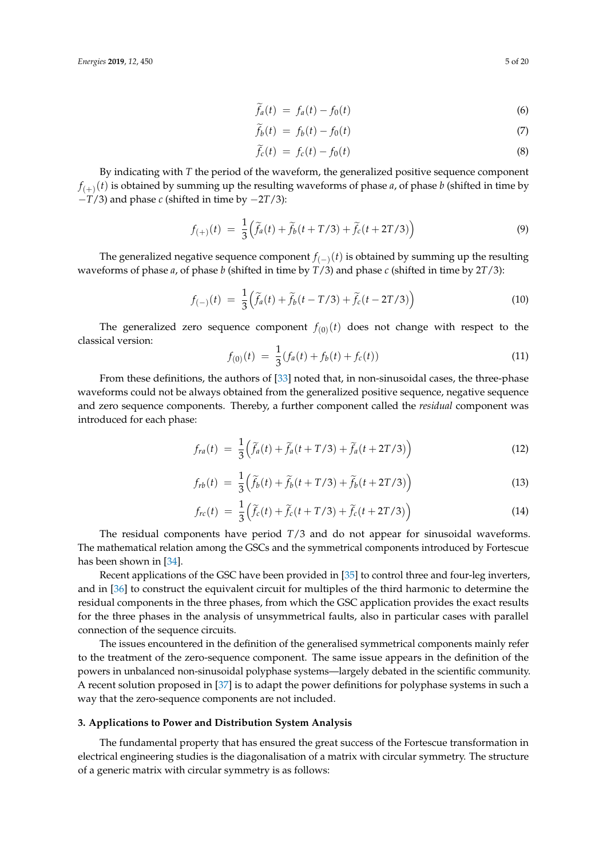$$
\widetilde{f}_a(t) = f_a(t) - f_0(t) \tag{6}
$$

$$
\widetilde{f}_b(t) = f_b(t) - f_0(t) \tag{7}
$$

$$
\hat{f}_c(t) = f_c(t) - f_0(t) \tag{8}
$$

By indicating with *T* the period of the waveform, the generalized positive sequence component  $f_{(+)}(t)$  is obtained by summing up the resulting waveforms of phase *a*, of phase *b* (shifted in time by −*T*/3) and phase *c* (shifted in time by −2*T*/3):

$$
f_{(+)}(t) = \frac{1}{3} \Big( \tilde{f}_a(t) + \tilde{f}_b(t + T/3) + \tilde{f}_c(t + 2T/3) \Big) \tag{9}
$$

The generalized negative sequence component  $f_{(-)}(t)$  is obtained by summing up the resulting waveforms of phase *a*, of phase *b* (shifted in time by *T*/3) and phase *c* (shifted in time by 2*T*/3):

$$
f_{(-)}(t) = \frac{1}{3} \Big( \tilde{f}_a(t) + \tilde{f}_b(t - T/3) + \tilde{f}_c(t - 2T/3) \Big) \tag{10}
$$

The generalized zero sequence component  $f_{(0)}(t)$  does not change with respect to the classical version:

$$
f_{(0)}(t) = \frac{1}{3}(f_a(t) + f_b(t) + f_c(t))
$$
\n(11)

From these definitions, the authors of [33] noted that, in non-sinusoidal cases, the three-phase waveforms could not be always obtained from the generalized positive sequence, negative sequence and zero sequence components. Thereby, a further component called the *residual* component was introduced for each phase:

$$
f_{ra}(t) = \frac{1}{3} \left( \widetilde{f}_a(t) + \widetilde{f}_a(t + T/3) + \widetilde{f}_a(t + 2T/3) \right)
$$
 (12)

$$
f_{rb}(t) = \frac{1}{3} \left( \widetilde{f}_b(t) + \widetilde{f}_b(t + T/3) + \widetilde{f}_b(t + 2T/3) \right)
$$
\n(13)

$$
f_{rc}(t) = \frac{1}{3} \Big( \widetilde{f}_c(t) + \widetilde{f}_c(t + T/3) + \widetilde{f}_c(t + 2T/3) \Big) \tag{14}
$$

The residual components have period *T*/3 and do not appear for sinusoidal waveforms. The mathematical relation among the GSCs and the symmetrical components introduced by Fortescue has been shown in [34].

Recent applications of the GSC have been provided in [35] to control three and four-leg inverters, and in [36] to construct the equivalent circuit for multiples of the third harmonic to determine the residual components in the three phases, from which the GSC application provides the exact results for the three phases in the analysis of unsymmetrical faults, also in particular cases with parallel connection of the sequence circuits.

The issues encountered in the definition of the generalised symmetrical components mainly refer to the treatment of the zero-sequence component. The same issue appears in the definition of the powers in unbalanced non-sinusoidal polyphase systems—largely debated in the scientific community. A recent solution proposed in [37] is to adapt the power definitions for polyphase systems in such a way that the zero-sequence components are not included.

### **3. Applications to Power and Distribution System Analysis**

The fundamental property that has ensured the great success of the Fortescue transformation in electrical engineering studies is the diagonalisation of a matrix with circular symmetry. The structure of a generic matrix with circular symmetry is as follows: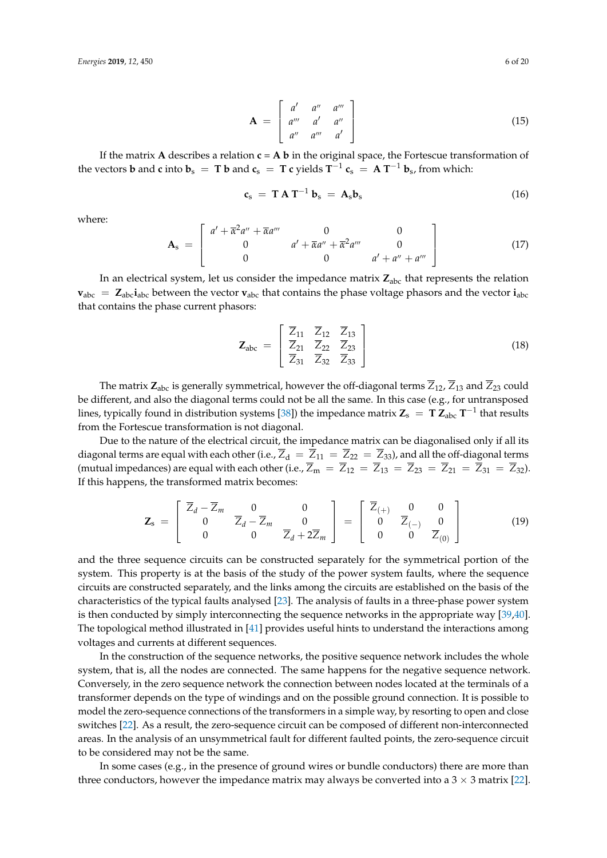$$
\mathbf{A} = \begin{bmatrix} a' & a'' & a'' \\ a''' & a' & a'' \\ a'' & a''' & a' \end{bmatrix} \tag{15}
$$

If the matrix **A** describes a relation  $c = A b$  in the original space, the Fortescue transformation of the vectors **b** and **c** into  $\mathbf{b}_s = \mathbf{T} \mathbf{b}$  and  $\mathbf{c}_s = \mathbf{T} \mathbf{c}$  yields  $\mathbf{T}^{-1} \mathbf{c}_s = \mathbf{A} \mathbf{T}^{-1} \mathbf{b}_s$ , from which:

$$
\mathbf{c}_s = \mathbf{T} \mathbf{A} \mathbf{T}^{-1} \mathbf{b}_s = \mathbf{A}_s \mathbf{b}_s \tag{16}
$$

where:

$$
\mathbf{A}_{s} = \begin{bmatrix} a' + \overline{\alpha}^{2} a'' + \overline{\alpha} a''' & 0 & 0 \\ 0 & a' + \overline{\alpha} a'' + \overline{\alpha}^{2} a''' & 0 \\ 0 & 0 & a' + a'' + a''' \end{bmatrix}
$$
(17)

In an electrical system, let us consider the impedance matrix  $Z_{abc}$  that represents the relation  $v_{abc} = Z_{abc}i_{abc}$  between the vector  $v_{abc}$  that contains the phase voltage phasors and the vector  $i_{abc}$ that contains the phase current phasors:

$$
\mathbf{Z}_{abc} = \begin{bmatrix} \overline{Z}_{11} & \overline{Z}_{12} & \overline{Z}_{13} \\ \overline{Z}_{21} & \overline{Z}_{22} & \overline{Z}_{23} \\ \overline{Z}_{31} & \overline{Z}_{32} & \overline{Z}_{33} \end{bmatrix}
$$
(18)

The matrix  $\mathbf{Z}_{abc}$  is generally symmetrical, however the off-diagonal terms  $\overline{Z}_{12}$ ,  $\overline{Z}_{13}$  and  $\overline{Z}_{23}$  could be different, and also the diagonal terms could not be all the same. In this case (e.g., for untransposed lines, typically found in distribution systems [38]) the impedance matrix  $\mathbf{Z}_s = \mathbf{T} \, \mathbf{Z}_{abc} \, \mathbf{T}^{-1}$  that results from the Fortescue transformation is not diagonal.

Due to the nature of the electrical circuit, the impedance matrix can be diagonalised only if all its diagonal terms are equal with each other (i.e.,  $\overline{Z}_d = \overline{Z}_{11} = \overline{Z}_{22} = \overline{Z}_{33}$ ), and all the off-diagonal terms (mutual impedances) are equal with each other (i.e.,  $\overline{Z}_m = \overline{Z}_{12} = \overline{Z}_{13} = \overline{Z}_{23} = \overline{Z}_{21} = \overline{Z}_{31} = \overline{Z}_{32}$ ). If this happens, the transformed matrix becomes:

$$
\mathbf{Z}_{s} = \begin{bmatrix} \overline{Z}_{d} - \overline{Z}_{m} & 0 & 0 \\ 0 & \overline{Z}_{d} - \overline{Z}_{m} & 0 \\ 0 & 0 & \overline{Z}_{d} + 2\overline{Z}_{m} \end{bmatrix} = \begin{bmatrix} \overline{Z}_{(+)} & 0 & 0 \\ 0 & \overline{Z}_{(-)} & 0 \\ 0 & 0 & \overline{Z}_{(0)} \end{bmatrix}
$$
(19)

and the three sequence circuits can be constructed separately for the symmetrical portion of the system. This property is at the basis of the study of the power system faults, where the sequence circuits are constructed separately, and the links among the circuits are established on the basis of the characteristics of the typical faults analysed [23]. The analysis of faults in a three-phase power system is then conducted by simply interconnecting the sequence networks in the appropriate way [39,40]. The topological method illustrated in [41] provides useful hints to understand the interactions among voltages and currents at different sequences.

In the construction of the sequence networks, the positive sequence network includes the whole system, that is, all the nodes are connected. The same happens for the negative sequence network. Conversely, in the zero sequence network the connection between nodes located at the terminals of a transformer depends on the type of windings and on the possible ground connection. It is possible to model the zero-sequence connections of the transformers in a simple way, by resorting to open and close switches [22]. As a result, the zero-sequence circuit can be composed of different non-interconnected areas. In the analysis of an unsymmetrical fault for different faulted points, the zero-sequence circuit to be considered may not be the same.

In some cases (e.g., in the presence of ground wires or bundle conductors) there are more than three conductors, however the impedance matrix may always be converted into a  $3 \times 3$  matrix [22].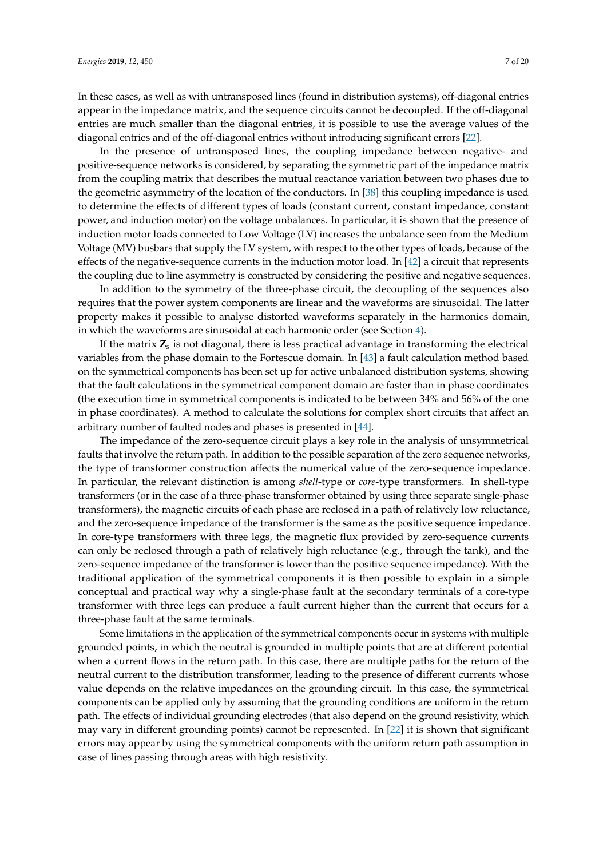In these cases, as well as with untransposed lines (found in distribution systems), off-diagonal entries appear in the impedance matrix, and the sequence circuits cannot be decoupled. If the off-diagonal entries are much smaller than the diagonal entries, it is possible to use the average values of the diagonal entries and of the off-diagonal entries without introducing significant errors [22].

In the presence of untransposed lines, the coupling impedance between negative- and positive-sequence networks is considered, by separating the symmetric part of the impedance matrix from the coupling matrix that describes the mutual reactance variation between two phases due to the geometric asymmetry of the location of the conductors. In [38] this coupling impedance is used to determine the effects of different types of loads (constant current, constant impedance, constant power, and induction motor) on the voltage unbalances. In particular, it is shown that the presence of induction motor loads connected to Low Voltage (LV) increases the unbalance seen from the Medium Voltage (MV) busbars that supply the LV system, with respect to the other types of loads, because of the effects of the negative-sequence currents in the induction motor load. In [42] a circuit that represents the coupling due to line asymmetry is constructed by considering the positive and negative sequences.

In addition to the symmetry of the three-phase circuit, the decoupling of the sequences also requires that the power system components are linear and the waveforms are sinusoidal. The latter property makes it possible to analyse distorted waveforms separately in the harmonics domain, in which the waveforms are sinusoidal at each harmonic order (see Section 4).

If the matrix  $Z_s$  is not diagonal, there is less practical advantage in transforming the electrical variables from the phase domain to the Fortescue domain. In [43] a fault calculation method based on the symmetrical components has been set up for active unbalanced distribution systems, showing that the fault calculations in the symmetrical component domain are faster than in phase coordinates (the execution time in symmetrical components is indicated to be between 34% and 56% of the one in phase coordinates). A method to calculate the solutions for complex short circuits that affect an arbitrary number of faulted nodes and phases is presented in [44].

The impedance of the zero-sequence circuit plays a key role in the analysis of unsymmetrical faults that involve the return path. In addition to the possible separation of the zero sequence networks, the type of transformer construction affects the numerical value of the zero-sequence impedance. In particular, the relevant distinction is among *shell*-type or *core*-type transformers. In shell-type transformers (or in the case of a three-phase transformer obtained by using three separate single-phase transformers), the magnetic circuits of each phase are reclosed in a path of relatively low reluctance, and the zero-sequence impedance of the transformer is the same as the positive sequence impedance. In core-type transformers with three legs, the magnetic flux provided by zero-sequence currents can only be reclosed through a path of relatively high reluctance (e.g., through the tank), and the zero-sequence impedance of the transformer is lower than the positive sequence impedance). With the traditional application of the symmetrical components it is then possible to explain in a simple conceptual and practical way why a single-phase fault at the secondary terminals of a core-type transformer with three legs can produce a fault current higher than the current that occurs for a three-phase fault at the same terminals.

Some limitations in the application of the symmetrical components occur in systems with multiple grounded points, in which the neutral is grounded in multiple points that are at different potential when a current flows in the return path. In this case, there are multiple paths for the return of the neutral current to the distribution transformer, leading to the presence of different currents whose value depends on the relative impedances on the grounding circuit. In this case, the symmetrical components can be applied only by assuming that the grounding conditions are uniform in the return path. The effects of individual grounding electrodes (that also depend on the ground resistivity, which may vary in different grounding points) cannot be represented. In [22] it is shown that significant errors may appear by using the symmetrical components with the uniform return path assumption in case of lines passing through areas with high resistivity.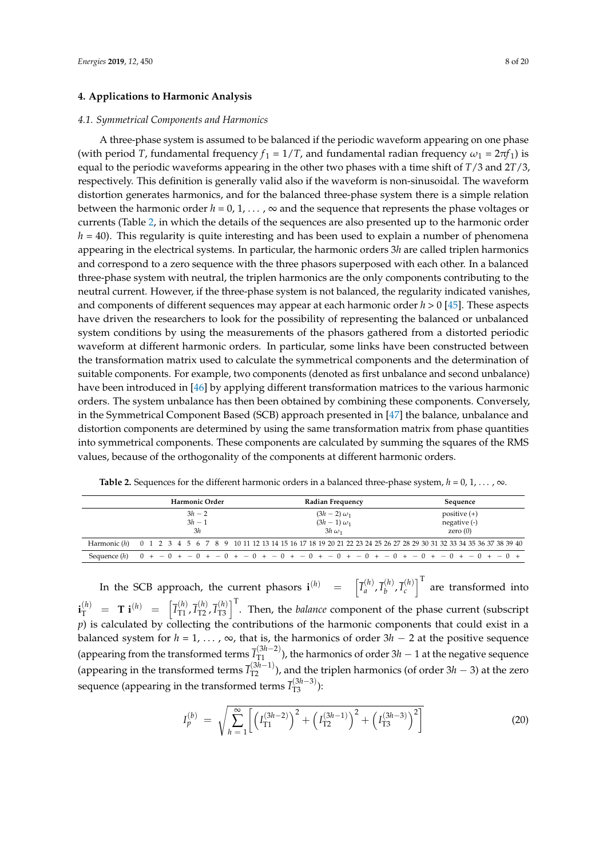#### **4. Applications to Harmonic Analysis**

#### *4.1. Symmetrical Components and Harmonics*

A three-phase system is assumed to be balanced if the periodic waveform appearing on one phase (with period *T*, fundamental frequency  $f_1 = 1/T$ , and fundamental radian frequency  $\omega_1 = 2\pi f_1$ ) is equal to the periodic waveforms appearing in the other two phases with a time shift of *T*/3 and 2*T*/3, respectively. This definition is generally valid also if the waveform is non-sinusoidal. The waveform distortion generates harmonics, and for the balanced three-phase system there is a simple relation between the harmonic order  $h = 0, 1, \ldots, \infty$  and the sequence that represents the phase voltages or currents (Table 2, in which the details of the sequences are also presented up to the harmonic order *h* = 40). This regularity is quite interesting and has been used to explain a number of phenomena appearing in the electrical systems. In particular, the harmonic orders 3*h* are called triplen harmonics and correspond to a zero sequence with the three phasors superposed with each other. In a balanced three-phase system with neutral, the triplen harmonics are the only components contributing to the neutral current. However, if the three-phase system is not balanced, the regularity indicated vanishes, and components of different sequences may appear at each harmonic order *h* > 0 [45]. These aspects have driven the researchers to look for the possibility of representing the balanced or unbalanced system conditions by using the measurements of the phasors gathered from a distorted periodic waveform at different harmonic orders. In particular, some links have been constructed between the transformation matrix used to calculate the symmetrical components and the determination of suitable components. For example, two components (denoted as first unbalance and second unbalance) have been introduced in [46] by applying different transformation matrices to the various harmonic orders. The system unbalance has then been obtained by combining these components. Conversely, in the Symmetrical Component Based (SCB) approach presented in [47] the balance, unbalance and distortion components are determined by using the same transformation matrix from phase quantities into symmetrical components. These components are calculated by summing the squares of the RMS values, because of the orthogonality of the components at different harmonic orders.

| <b>Harmonic Order</b>  | Radian Frequency                                                                                                              | Sequence                                  |  |  |  |  |  |  |  |
|------------------------|-------------------------------------------------------------------------------------------------------------------------------|-------------------------------------------|--|--|--|--|--|--|--|
| $3h-2$<br>$3h-1$<br>3h | $(3h-2)\omega_1$<br>$(3h-1)\omega_1$<br>$3h \omega_1$                                                                         | $positive (+)$<br>negative (-)<br>zero(0) |  |  |  |  |  |  |  |
|                        | Harmonic (h) 0 1 2 3 4 5 6 7 8 9 10 11 12 13 14 15 16 17 18 19 20 21 22 23 24 25 26 27 28 29 30 31 32 33 34 35 36 37 38 39 40 |                                           |  |  |  |  |  |  |  |
|                        | Sequence $(h)$ 0 + - 0 + - 0 + - 0 + - 0 + - 0 + - 0 + - 0 + - 0 + - 0 + - 0 + - 0 + - 0 + - 0 + - 0 +                        |                                           |  |  |  |  |  |  |  |

**Table 2.** Sequences for the different harmonic orders in a balanced three-phase system,  $h = 0, 1, \ldots, \infty$ .

In the SCB approach, the current phasors  $\mathbf{i}^{(h)}$  =  $\begin{bmatrix} \bar{I}_a^{(h)} \end{bmatrix}$  $\bar{I}_a^{(h)}$ ,  $\bar{I}_b^{(h)}$  $\bar{I}_c^{(h)}$ ,  $\bar{I}_c^{(h)}$  $\left[\begin{matrix} (h) \\ c \end{matrix}\right]^{\text{T}}$  are transformed into  $\mathbf{i}_T^{(h)} = \mathbf{T} \mathbf{i}^{(h)} = \begin{bmatrix} \bar{I}_{T1}^{(h)}, \bar{I}_{T2}^{(h)}, \bar{I}_{T3}^{(h)} \end{bmatrix}^T$ . Then, the *balance* component of the phase current (subscript *p*) is calculated by collecting the contributions of the harmonic components that could exist in a balanced system for  $h = 1, \ldots, \infty$ , that is, the harmonics of order  $3h - 2$  at the positive sequence (appearing from the transformed terms  $\bar{I}_{\text{T1}}^{(3h-2)}$ ), the harmonics of order 3*h* − 1 at the negative sequence (appearing in the transformed terms  $\bar{I}_{T2}^{(3h-1)}$ ), and the triplen harmonics (of order 3*h* − 3) at the zero sequence (appearing in the transformed terms  $\overline{I}_{T3}^{(3h-3)}$ ):

$$
I_p^{(b)} = \sqrt{\sum_{h=1}^{\infty} \left[ \left( I_{\text{T1}}^{(3h-2)} \right)^2 + \left( I_{\text{T2}}^{(3h-1)} \right)^2 + \left( I_{\text{T3}}^{(3h-3)} \right)^2 \right]}
$$
(20)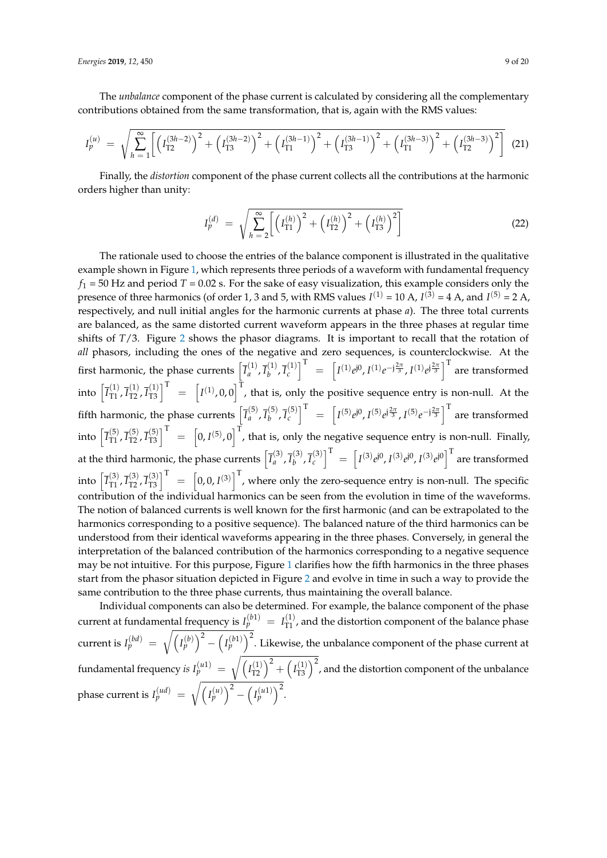The *unbalance* component of the phase current is calculated by considering all the complementary contributions obtained from the same transformation, that is, again with the RMS values:

$$
I_p^{(u)} = \sqrt{\sum_{h=1}^{\infty} \left[ \left( I_{T2}^{(3h-2)} \right)^2 + \left( I_{T3}^{(3h-2)} \right)^2 + \left( I_{T1}^{(3h-1)} \right)^2 + \left( I_{T3}^{(3h-1)} \right)^2 + \left( I_{T1}^{(3h-3)} \right)^2 + \left( I_{T2}^{(3h-3)} \right)^2 \right]} (21)
$$

Finally, the *distortion* component of the phase current collects all the contributions at the harmonic orders higher than unity:

$$
I_p^{(d)} = \sqrt{\sum_{h=2}^{\infty} \left[ \left( I_{\text{T1}}^{(h)} \right)^2 + \left( I_{\text{T2}}^{(h)} \right)^2 + \left( I_{\text{T3}}^{(h)} \right)^2 \right]}
$$
(22)

The rationale used to choose the entries of the balance component is illustrated in the qualitative example shown in Figure 1, which represents three periods of a waveform with fundamental frequency  $f_1$  = 50 Hz and period  $T$  = 0.02 s. For the sake of easy visualization, this example considers only the presence of three harmonics (of order 1, 3 and 5, with RMS values  $I^{(1)} = 10 \text{ A}$ ,  $I^{(3)} = 4 \text{ A}$ , and  $I^{(5)} = 2 \text{ A}$ , respectively, and null initial angles for the harmonic currents at phase *a*). The three total currents are balanced, as the same distorted current waveform appears in the three phases at regular time shifts of *T*/3. Figure 2 shows the phasor diagrams. It is important to recall that the rotation of *all* phasors, including the ones of the negative and zero sequences, is counterclockwise. At the first harmonic, the phase currents  $\left[\overline{I}_{a}^{(1)}\right]$  $\bar{I}_a^{(1)}$ ,  $\bar{I}_b^{(1)}$  $\bar{I}_b^{(1)}$ ,  $\bar{I}_c^{(1)}$  $\begin{bmatrix} 1 \end{bmatrix}^{\mathrm{T}}$  =  $\begin{bmatrix} I^{(1)} e^{j0}, I^{(1)} e^{-j\frac{2\pi}{3}}, I^{(1)} e^{j\frac{2\pi}{3}} \end{bmatrix}^{\mathrm{T}}$  are transformed into  $\left[\overline{I}_{T1}^{(1)}, \overline{I}_{T2}^{(1)}, \overline{I}_{T3}^{(1)}\right]^{\mathrm{T}} = \left[I^{(1)}, 0, 0\right]^{\mathrm{T}}$ , that is, only the positive sequence entry is non-null. At the fifth harmonic, the phase currents  $\left[\overline{I}_{a}^{(5)}\right]$  $\bar{I}_a^{(5)}$ ,  $\bar{I}_b^{(5)}$  $\bar{I}_b^{(5)}$ ,  $\bar{I}_c^{(5)}$  $\left[I^{(5)}e^{j0}, I^{(5)}e^{j\frac{2\pi}{3}}, I^{(5)}e^{-j\frac{2\pi}{3}}\right]$ <sup>T</sup> are transformed into  $\left[\overline{I}_{T1}^{(5)}, \overline{I}_{T2}^{(5)}, \overline{I}_{T3}^{(5)}\right]^{\text{T}} = \left[0, I^{(5)}, 0\right]^{\text{T}}$ , that is, only the negative sequence entry is non-null. Finally, at the third harmonic, the phase currents  $\left[\overline{I}_{a}^{(3)}\right]$  $\bar{I}_a^{(3)}$ ,  $\bar{I}_b^{(3)}$  $\bar{I}_b^{(3)}$ ,  $\bar{I}_c^{(3)}$  $\left[ \begin{matrix} f^{(3)} \end{matrix} e^{j0}, I^{(3)} e^{j0}, I^{(3)} e^{j0} \end{matrix} \right]^{\mathrm{T}}$  are transformed into  $\left[\overline{I}_{T1}^{(3)}, \overline{I}_{T2}^{(3)}, \overline{I}_{T3}^{(3)}\right]^{\text{T}} = \left[0, 0, I^{(3)}\right]^{\text{T}}$ , where only the zero-sequence entry is non-null. The specific contribution of the individual harmonics can be seen from the evolution in time of the waveforms. The notion of balanced currents is well known for the first harmonic (and can be extrapolated to the harmonics corresponding to a positive sequence). The balanced nature of the third harmonics can be understood from their identical waveforms appearing in the three phases. Conversely, in general the interpretation of the balanced contribution of the harmonics corresponding to a negative sequence may be not intuitive. For this purpose, Figure 1 clarifies how the fifth harmonics in the three phases start from the phasor situation depicted in Figure 2 and evolve in time in such a way to provide the same contribution to the three phase currents, thus maintaining the overall balance.

Individual components can also be determined. For example, the balance component of the phase current at fundamental frequency is  $I_p^{(b1)} = I_{T1}^{(1)}$ , and the distortion component of the balance phase current is  $I_p^{(bd)} = \sqrt{\left(I_p^{(b)}\right)^2 - \left(I_p^{(b1)}\right)^2}$ . Likewise, the unbalance component of the phase current at fundamental frequency *is*  $I_p^{(u1)} = \sqrt{\left(I_{T2}^{(1)}\right)^2 + \left(I_{T3}^{(1)}\right)^2}$ , and the distortion component of the unbalance phase current is  $I_p^{(ud)} = \sqrt{\left(I_p^{(u)}\right)^2 - \left(I_p^{(u1)}\right)^2}.$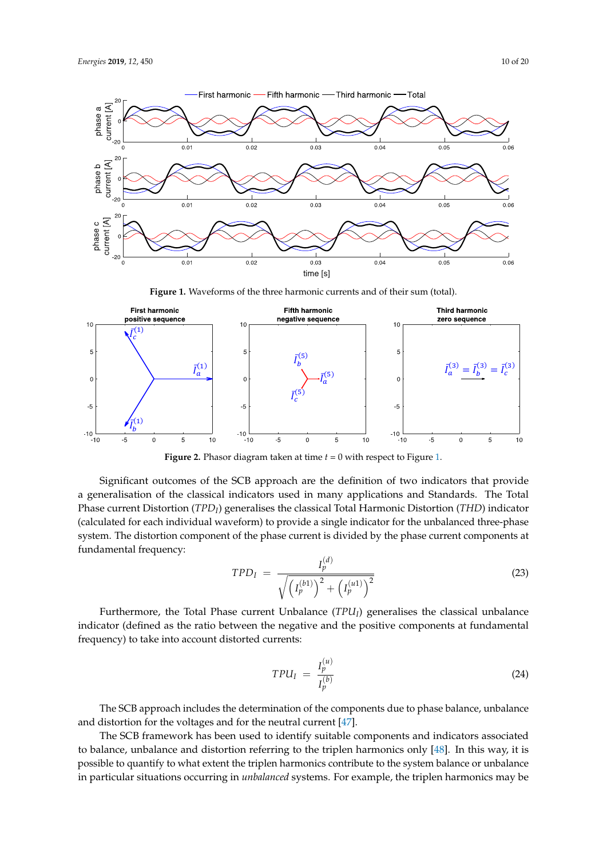

**Figure 1.** Waveforms of the three harmonic currents and of their sum (total). **Figure 1.** Waveforms of the three harmonic currents and of their sum (total).



 $\begin{array}{ccc} \bullet\qquad \qquad & \circ & \qquad & \bullet \qquad & \bullet \qquad & \bullet \qquad & \bullet \qquad & \bullet \qquad & \bullet \qquad & \bullet \qquad & \bullet \qquad & \bullet \qquad & \bullet \qquad & \bullet \qquad & \bullet \qquad & \bullet \qquad & \bullet \qquad & \bullet \qquad & \bullet \qquad & \bullet \qquad & \bullet \qquad & \bullet \qquad & \bullet \qquad & \bullet \qquad & \bullet \qquad & \bullet \qquad & \bullet \qquad & \bullet \qquad & \bullet \qquad & \bullet \qquad & \bullet \qquad & \bullet \qquad & \bullet \qquad & \bullet \qquad & \bullet \qquad & \bullet \qquad$ **Figure 2.** Phasor diagram taken at time *t* = 0 with respect to Figure 1.

Significant outcomes of the SCB approach are the definition of two indicators that provide a generalisation of the classical indicators used in many applications and Standards. The Total Phase current Distortion (*TPD<sup>I</sup>* ) generalises the classical Total Harmonic Distortion (*THD*) indicator (calculated for each individual waveform) to provide a single indicator for the unbalanced three-phase system. The distortion component of the phase current is divided by the phase current components at fundamental frequency:

$$
TPD_I = \frac{I_p^{(d)}}{\sqrt{\left(I_p^{(b1)}\right)^2 + \left(I_p^{(u1)}\right)^2}}
$$
(23)

Furthermore, the Total Phase current Unbalance (*TPU<sup>I</sup>* ) generalises the classical unbalance indicator (defined as the ratio between the negative and the positive components at fundamental frequency) to take into account distorted currents:

$$
TPU_I = \frac{I_p^{(u)}}{I_p^{(b)}}\tag{24}
$$

The SCB approach includes the determination of the components due to phase balance, unbalance and distortion for the voltages and for the neutral current [47].

The SCB framework has been used to identify suitable components and indicators associated to balance, unbalance and distortion referring to the triplen harmonics only [48]. In this way, it is possible to quantify to what extent the triplen harmonics contribute to the system balance or unbalance in particular situations occurring in *unbalanced* systems. For example, the triplen harmonics may be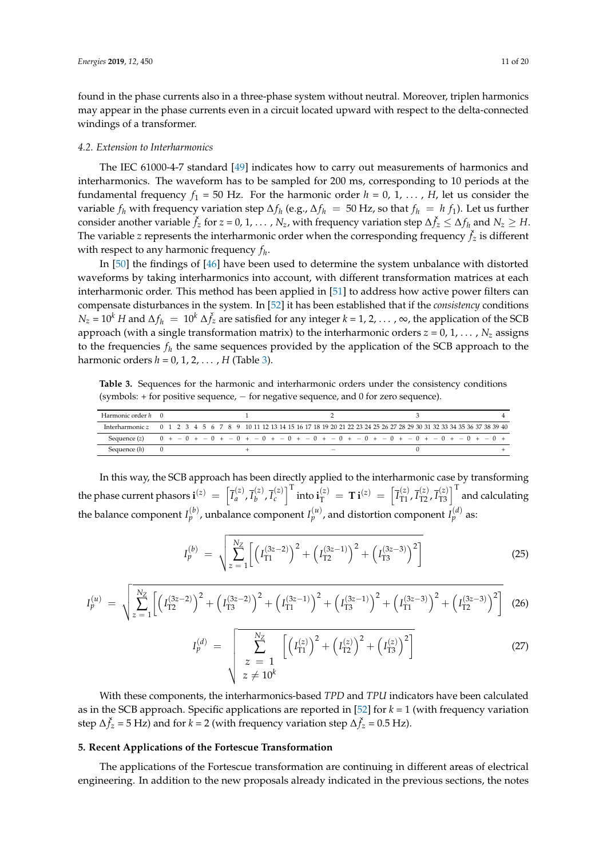found in the phase currents also in a three-phase system without neutral. Moreover, triplen harmonics may appear in the phase currents even in a circuit located upward with respect to the delta-connected windings of a transformer.

#### *4.2. Extension to Interharmonics*

The IEC 61000-4-7 standard [49] indicates how to carry out measurements of harmonics and interharmonics. The waveform has to be sampled for 200 ms, corresponding to 10 periods at the fundamental frequency  $f_1 = 50$  Hz. For the harmonic order  $h = 0, 1, \ldots, H$ , let us consider the variable *f<sup>h</sup>* with frequency variation step ∆*f<sup>h</sup>* (e.g., ∆*f<sup>h</sup>* = 50 Hz, so that *f<sup>h</sup>* = *h f*1). Let us further consider another variable  $\check{f}_z$  for  $z = 0, 1, ..., N_z$ , with frequency variation step  $\Delta \check{f}_z \leq \Delta f_h$  and  $N_z \geq H$ . The variable  $z$  represents the interharmonic order when the corresponding frequency  $\check{f}_z$  is different with respect to any harmonic frequency *f<sup>h</sup>* .

In [50] the findings of [46] have been used to determine the system unbalance with distorted waveforms by taking interharmonics into account, with different transformation matrices at each interharmonic order. This method has been applied in [51] to address how active power filters can compensate disturbances in the system. In [52] it has been established that if the *consistency* conditions  $N_z = 10^k$  *H* and  $\Delta f_h$  =  $10^k$   $\Delta f_z$  are satisfied for any integer *k* = 1, 2, . . . , ∞, the application of the SCB approach (with a single transformation matrix) to the interharmonic orders  $z = 0, 1, \ldots, N_z$  assigns to the frequencies *f<sup>h</sup>* the same sequences provided by the application of the SCB approach to the harmonic orders  $h = 0, 1, 2, \ldots, H$  (Table 3).

**Table 3.** Sequences for the harmonic and interharmonic orders under the consistency conditions  $(symbols: + for positive sequence, - for negative sequence, and 0 for zero sequence).$ 

| Harmonic order $h \neq 0$                                                                                                        |  |  |  |  |  |  |  |  |  |  |  |  |
|----------------------------------------------------------------------------------------------------------------------------------|--|--|--|--|--|--|--|--|--|--|--|--|
| Interharmonic z 0 1 2 3 4 5 6 7 8 9 10 11 12 13 14 15 16 17 18 19 20 21 22 23 24 25 26 27 28 29 30 31 32 33 34 35 36 37 38 39 40 |  |  |  |  |  |  |  |  |  |  |  |  |
|                                                                                                                                  |  |  |  |  |  |  |  |  |  |  |  |  |
| Sequence (h)                                                                                                                     |  |  |  |  |  |  |  |  |  |  |  |  |

In this way, the SCB approach has been directly applied to the interharmonic case by transforming the phase current phasors  $\mathbf{i}^{(z)} = \begin{bmatrix} \overline{I}_a^{(z)} \end{bmatrix}$  $\bar{I}_a^{(z)}$ ,  $\bar{I}_b^{(z)}$  $\bar{I}_c^{(z)}$ ,  $\bar{I}_c^{(z)}$  $\left[\frac{z}{c}\right]^{T}$  into  $\mathbf{i}_{T}^{(z)} = T\,\mathbf{i}^{(z)} = \left[\overline{I}_{T1}^{(z)}, \overline{I}_{T2}^{(z)}, \overline{I}_{T3}^{(z)}\right]^{T}$  and calculating the balance component  $I_p^{(b)}$ , unbalance component  $I_p^{(u)}$ , and distortion component  $I_p^{(d)}$  as:

$$
I_p^{(b)} = \sqrt{\sum_{z=1}^{N_Z} \left[ \left( I_{\text{T1}}^{(3z-2)} \right)^2 + \left( I_{\text{T2}}^{(3z-1)} \right)^2 + \left( I_{\text{T3}}^{(3z-3)} \right)^2 \right]}
$$
(25)

$$
I_p^{(u)} = \sqrt{\sum_{z=1}^{N_Z} \left[ \left( I_{T2}^{(3z-2)} \right)^2 + \left( I_{T3}^{(3z-2)} \right)^2 + \left( I_{T1}^{(3z-1)} \right)^2 + \left( I_{T3}^{(3z-1)} \right)^2 + \left( I_{T1}^{(3z-3)} \right)^2 + \left( I_{T2}^{(3z-3)} \right)^2 \right]}
$$
(26)

$$
I_p^{(d)} = \sqrt{\sum_{\substack{z = 1 \\ z \neq 10^k}}^{N_Z} \left[ \left( I_{\text{T1}}^{(z)} \right)^2 + \left( I_{\text{T2}}^{(z)} \right)^2 + \left( I_{\text{T3}}^{(z)} \right)^2 \right]}
$$
(27)

With these components, the interharmonics-based *TPD* and *TPU* indicators have been calculated as in the SCB approach. Specific applications are reported in [52] for *k* = 1 (with frequency variation step  $\Delta \check{f}_z = 5$  Hz) and for  $k = 2$  (with frequency variation step  $\Delta \check{f}_z = 0.5$  Hz).

# **5. Recent Applications of the Fortescue Transformation**

The applications of the Fortescue transformation are continuing in different areas of electrical engineering. In addition to the new proposals already indicated in the previous sections, the notes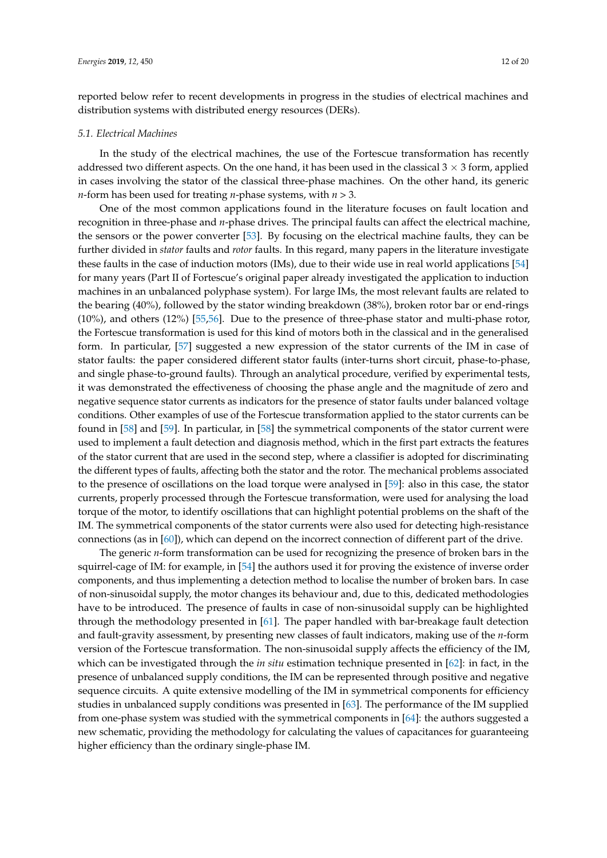reported below refer to recent developments in progress in the studies of electrical machines and distribution systems with distributed energy resources (DERs).

#### *5.1. Electrical Machines*

In the study of the electrical machines, the use of the Fortescue transformation has recently addressed two different aspects. On the one hand, it has been used in the classical  $3 \times 3$  form, applied in cases involving the stator of the classical three-phase machines. On the other hand, its generic *n*-form has been used for treating *n*-phase systems, with *n* > 3.

One of the most common applications found in the literature focuses on fault location and recognition in three-phase and *n*-phase drives. The principal faults can affect the electrical machine, the sensors or the power converter [53]. By focusing on the electrical machine faults, they can be further divided in *stator* faults and *rotor* faults. In this regard, many papers in the literature investigate these faults in the case of induction motors (IMs), due to their wide use in real world applications [54] for many years (Part II of Fortescue's original paper already investigated the application to induction machines in an unbalanced polyphase system). For large IMs, the most relevant faults are related to the bearing (40%), followed by the stator winding breakdown (38%), broken rotor bar or end-rings (10%), and others (12%) [55,56]. Due to the presence of three-phase stator and multi-phase rotor, the Fortescue transformation is used for this kind of motors both in the classical and in the generalised form. In particular, [57] suggested a new expression of the stator currents of the IM in case of stator faults: the paper considered different stator faults (inter-turns short circuit, phase-to-phase, and single phase-to-ground faults). Through an analytical procedure, verified by experimental tests, it was demonstrated the effectiveness of choosing the phase angle and the magnitude of zero and negative sequence stator currents as indicators for the presence of stator faults under balanced voltage conditions. Other examples of use of the Fortescue transformation applied to the stator currents can be found in [58] and [59]. In particular, in [58] the symmetrical components of the stator current were used to implement a fault detection and diagnosis method, which in the first part extracts the features of the stator current that are used in the second step, where a classifier is adopted for discriminating the different types of faults, affecting both the stator and the rotor. The mechanical problems associated to the presence of oscillations on the load torque were analysed in [59]: also in this case, the stator currents, properly processed through the Fortescue transformation, were used for analysing the load torque of the motor, to identify oscillations that can highlight potential problems on the shaft of the IM. The symmetrical components of the stator currents were also used for detecting high-resistance connections (as in [60]), which can depend on the incorrect connection of different part of the drive.

The generic *n*-form transformation can be used for recognizing the presence of broken bars in the squirrel-cage of IM: for example, in [54] the authors used it for proving the existence of inverse order components, and thus implementing a detection method to localise the number of broken bars. In case of non-sinusoidal supply, the motor changes its behaviour and, due to this, dedicated methodologies have to be introduced. The presence of faults in case of non-sinusoidal supply can be highlighted through the methodology presented in  $[61]$ . The paper handled with bar-breakage fault detection and fault-gravity assessment, by presenting new classes of fault indicators, making use of the *n*-form version of the Fortescue transformation. The non-sinusoidal supply affects the efficiency of the IM, which can be investigated through the *in situ* estimation technique presented in [62]: in fact, in the presence of unbalanced supply conditions, the IM can be represented through positive and negative sequence circuits. A quite extensive modelling of the IM in symmetrical components for efficiency studies in unbalanced supply conditions was presented in [63]. The performance of the IM supplied from one-phase system was studied with the symmetrical components in [64]: the authors suggested a new schematic, providing the methodology for calculating the values of capacitances for guaranteeing higher efficiency than the ordinary single-phase IM.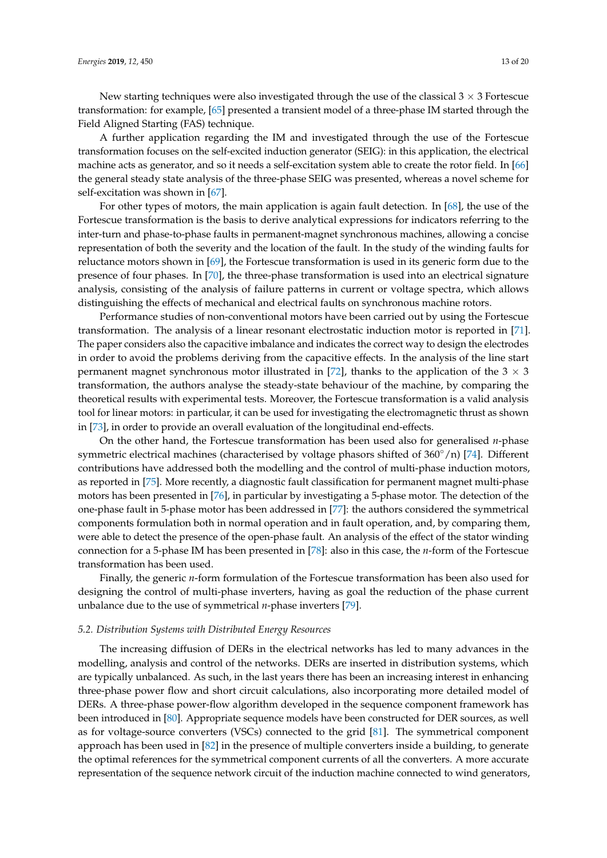New starting techniques were also investigated through the use of the classical  $3 \times 3$  Fortescue transformation: for example, [65] presented a transient model of a three-phase IM started through the Field Aligned Starting (FAS) technique.

A further application regarding the IM and investigated through the use of the Fortescue transformation focuses on the self-excited induction generator (SEIG): in this application, the electrical machine acts as generator, and so it needs a self-excitation system able to create the rotor field. In [66] the general steady state analysis of the three-phase SEIG was presented, whereas a novel scheme for self-excitation was shown in [67].

For other types of motors, the main application is again fault detection. In [68], the use of the Fortescue transformation is the basis to derive analytical expressions for indicators referring to the inter-turn and phase-to-phase faults in permanent-magnet synchronous machines, allowing a concise representation of both the severity and the location of the fault. In the study of the winding faults for reluctance motors shown in [69], the Fortescue transformation is used in its generic form due to the presence of four phases. In [70], the three-phase transformation is used into an electrical signature analysis, consisting of the analysis of failure patterns in current or voltage spectra, which allows distinguishing the effects of mechanical and electrical faults on synchronous machine rotors.

Performance studies of non-conventional motors have been carried out by using the Fortescue transformation. The analysis of a linear resonant electrostatic induction motor is reported in [71]. The paper considers also the capacitive imbalance and indicates the correct way to design the electrodes in order to avoid the problems deriving from the capacitive effects. In the analysis of the line start permanent magnet synchronous motor illustrated in [72], thanks to the application of the  $3 \times 3$ transformation, the authors analyse the steady-state behaviour of the machine, by comparing the theoretical results with experimental tests. Moreover, the Fortescue transformation is a valid analysis tool for linear motors: in particular, it can be used for investigating the electromagnetic thrust as shown in [73], in order to provide an overall evaluation of the longitudinal end-effects.

On the other hand, the Fortescue transformation has been used also for generalised *n*-phase symmetric electrical machines (characterised by voltage phasors shifted of 360°/n) [74]. Different contributions have addressed both the modelling and the control of multi-phase induction motors, as reported in [75]. More recently, a diagnostic fault classification for permanent magnet multi-phase motors has been presented in [76], in particular by investigating a 5-phase motor. The detection of the one-phase fault in 5-phase motor has been addressed in [77]: the authors considered the symmetrical components formulation both in normal operation and in fault operation, and, by comparing them, were able to detect the presence of the open-phase fault. An analysis of the effect of the stator winding connection for a 5-phase IM has been presented in [78]: also in this case, the *n*-form of the Fortescue transformation has been used.

Finally, the generic *n*-form formulation of the Fortescue transformation has been also used for designing the control of multi-phase inverters, having as goal the reduction of the phase current unbalance due to the use of symmetrical *n*-phase inverters [79].

### *5.2. Distribution Systems with Distributed Energy Resources*

The increasing diffusion of DERs in the electrical networks has led to many advances in the modelling, analysis and control of the networks. DERs are inserted in distribution systems, which are typically unbalanced. As such, in the last years there has been an increasing interest in enhancing three-phase power flow and short circuit calculations, also incorporating more detailed model of DERs. A three-phase power-flow algorithm developed in the sequence component framework has been introduced in [80]. Appropriate sequence models have been constructed for DER sources, as well as for voltage-source converters (VSCs) connected to the grid [81]. The symmetrical component approach has been used in [82] in the presence of multiple converters inside a building, to generate the optimal references for the symmetrical component currents of all the converters. A more accurate representation of the sequence network circuit of the induction machine connected to wind generators,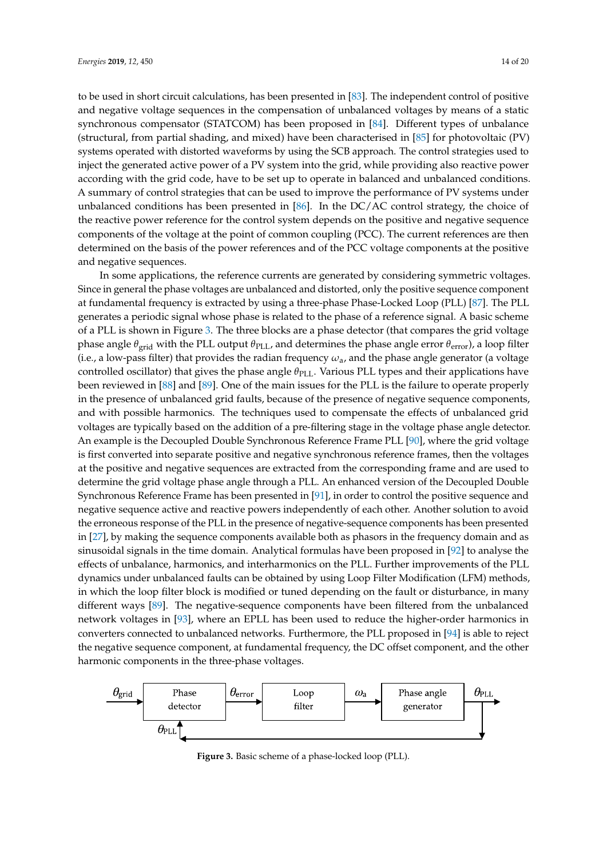to be used in short circuit calculations, has been presented in [83]. The independent control of positive and negative voltage sequences in the compensation of unbalanced voltages by means of a static synchronous compensator (STATCOM) has been proposed in [84]. Different types of unbalance (structural, from partial shading, and mixed) have been characterised in [85] for photovoltaic (PV) systems operated with distorted waveforms by using the SCB approach. The control strategies used to inject the generated active power of a PV system into the grid, while providing also reactive power according with the grid code, have to be set up to operate in balanced and unbalanced conditions. A summary of control strategies that can be used to improve the performance of PV systems under unbalanced conditions has been presented in [86]. In the  $DC/AC$  control strategy, the choice of the reactive power reference for the control system depends on the positive and negative sequence components of the voltage at the point of common coupling (PCC). The current references are then determined on the basis of the power references and of the PCC voltage components at the positive and negative sequences.

In some applications, the reference currents are generated by considering symmetric voltages. Since in general the phase voltages are unbalanced and distorted, only the positive sequence component at fundamental frequency is extracted by using a three-phase Phase-Locked Loop (PLL) [87]. The PLL generates a periodic signal whose phase is related to the phase of a reference signal. A basic scheme of a PLL is shown in Figure 3. The three blocks are a phase detector (that compares the grid voltage phase angle *θ*grid with the PLL output *θ*PLL, and determines the phase angle error *θ*error), a loop filter (i.e., a low-pass filter) that provides the radian frequency  $\omega_a$ , and the phase angle generator (a voltage controlled oscillator) that gives the phase angle  $θ_{\text{PLL}}$ . Various PLL types and their applications have been reviewed in [88] and [89]. One of the main issues for the PLL is the failure to operate properly in the presence of unbalanced grid faults, because of the presence of negative sequence components, and with possible harmonics. The techniques used to compensate the effects of unbalanced grid voltages are typically based on the addition of a pre-filtering stage in the voltage phase angle detector. An example is the Decoupled Double Synchronous Reference Frame PLL [90], where the grid voltage is first converted into separate positive and negative synchronous reference frames, then the voltages at the positive and negative sequences are extracted from the corresponding frame and are used to determine the grid voltage phase angle through a PLL. An enhanced version of the Decoupled Double Synchronous Reference Frame has been presented in [91], in order to control the positive sequence and negative sequence active and reactive powers independently of each other. Another solution to avoid the erroneous response of the PLL in the presence of negative-sequence components has been presented in [27], by making the sequence components available both as phasors in the frequency domain and as sinusoidal signals in the time domain. Analytical formulas have been proposed in [92] to analyse the effects of unbalance, harmonics, and interharmonics on the PLL. Further improvements of the PLL dynamics under unbalanced faults can be obtained by using Loop Filter Modification (LFM) methods, in which the loop filter block is modified or tuned depending on the fault or disturbance, in many different ways [89]. The negative-sequence components have been filtered from the unbalanced network voltages in [93], where an EPLL has been used to reduce the higher-order harmonics in converters connected to unbalanced networks. Furthermore, the PLL proposed in [94] is able to reject the negative sequence component, at fundamental frequency, the DC offset component, and the other harmonic components in the three-phase voltages. components in the three-phase voltages.



**Figure 3.** Basic scheme of a phase-locked loop (PLL). **Figure 3.** Basic scheme of a phase-locked loop (PLL).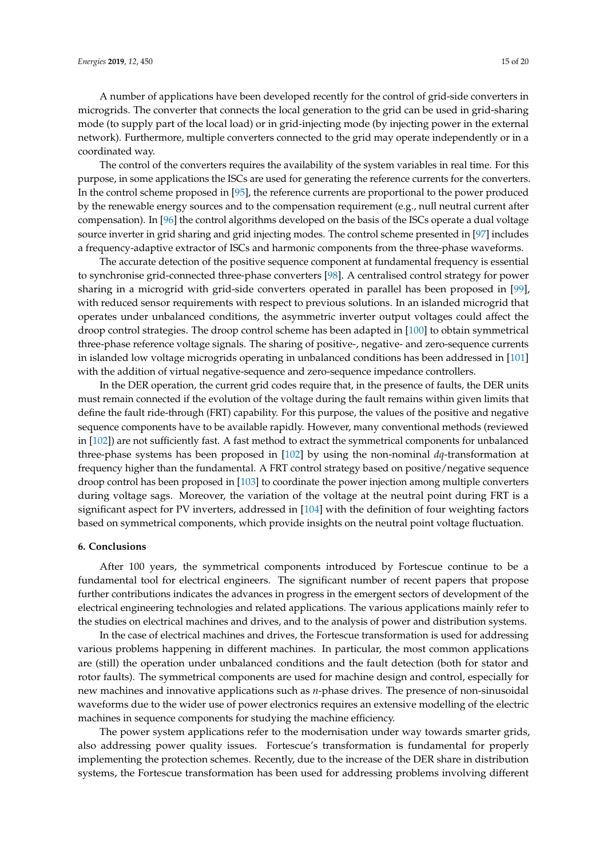A number of applications have been developed recently for the control of grid-side converters in microgrids. The converter that connects the local generation to the grid can be used in grid-sharing mode (to supply part of the local load) or in grid-injecting mode (by injecting power in the external network). Furthermore, multiple converters connected to the grid may operate independently or in a coordinated way.

The control of the converters requires the availability of the system variables in real time. For this purpose, in some applications the ISCs are used for generating the reference currents for the converters. In the control scheme proposed in [95], the reference currents are proportional to the power produced by the renewable energy sources and to the compensation requirement (e.g., null neutral current after compensation). In [96] the control algorithms developed on the basis of the ISCs operate a dual voltage source inverter in grid sharing and grid injecting modes. The control scheme presented in [97] includes a frequency-adaptive extractor of ISCs and harmonic components from the three-phase waveforms.

The accurate detection of the positive sequence component at fundamental frequency is essential to synchronise grid-connected three-phase converters [98]. A centralised control strategy for power sharing in a microgrid with grid-side converters operated in parallel has been proposed in [99], with reduced sensor requirements with respect to previous solutions. In an islanded microgrid that operates under unbalanced conditions, the asymmetric inverter output voltages could affect the droop control strategies. The droop control scheme has been adapted in [100] to obtain symmetrical three-phase reference voltage signals. The sharing of positive-, negative- and zero-sequence currents in islanded low voltage microgrids operating in unbalanced conditions has been addressed in [101] with the addition of virtual negative-sequence and zero-sequence impedance controllers.

In the DER operation, the current grid codes require that, in the presence of faults, the DER units must remain connected if the evolution of the voltage during the fault remains within given limits that define the fault ride-through (FRT) capability. For this purpose, the values of the positive and negative sequence components have to be available rapidly. However, many conventional methods (reviewed in [102]) are not sufficiently fast. A fast method to extract the symmetrical components for unbalanced three-phase systems has been proposed in [102] by using the non-nominal *dq*-transformation at frequency higher than the fundamental. A FRT control strategy based on positive/negative sequence droop control has been proposed in [103] to coordinate the power injection among multiple converters during voltage sags. Moreover, the variation of the voltage at the neutral point during FRT is a significant aspect for PV inverters, addressed in [104] with the definition of four weighting factors based on symmetrical components, which provide insights on the neutral point voltage fluctuation.

# **6. Conclusions**

After 100 years, the symmetrical components introduced by Fortescue continue to be a fundamental tool for electrical engineers. The significant number of recent papers that propose further contributions indicates the advances in progress in the emergent sectors of development of the electrical engineering technologies and related applications. The various applications mainly refer to the studies on electrical machines and drives, and to the analysis of power and distribution systems.

In the case of electrical machines and drives, the Fortescue transformation is used for addressing various problems happening in different machines. In particular, the most common applications are (still) the operation under unbalanced conditions and the fault detection (both for stator and rotor faults). The symmetrical components are used for machine design and control, especially for new machines and innovative applications such as *n*-phase drives. The presence of non-sinusoidal waveforms due to the wider use of power electronics requires an extensive modelling of the electric machines in sequence components for studying the machine efficiency.

The power system applications refer to the modernisation under way towards smarter grids, also addressing power quality issues. Fortescue's transformation is fundamental for properly implementing the protection schemes. Recently, due to the increase of the DER share in distribution systems, the Fortescue transformation has been used for addressing problems involving different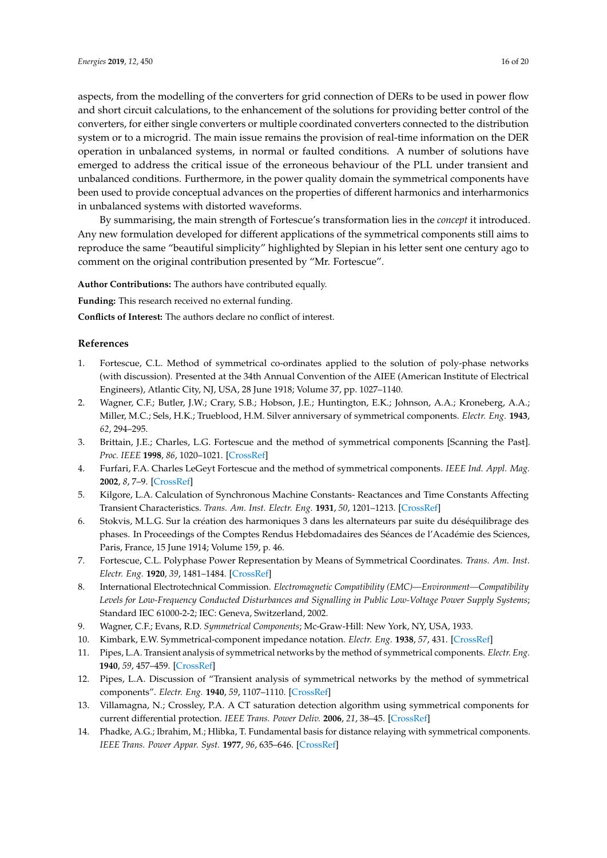aspects, from the modelling of the converters for grid connection of DERs to be used in power flow and short circuit calculations, to the enhancement of the solutions for providing better control of the converters, for either single converters or multiple coordinated converters connected to the distribution system or to a microgrid. The main issue remains the provision of real-time information on the DER operation in unbalanced systems, in normal or faulted conditions. A number of solutions have emerged to address the critical issue of the erroneous behaviour of the PLL under transient and unbalanced conditions. Furthermore, in the power quality domain the symmetrical components have been used to provide conceptual advances on the properties of different harmonics and interharmonics in unbalanced systems with distorted waveforms.

By summarising, the main strength of Fortescue's transformation lies in the *concept* it introduced. Any new formulation developed for different applications of the symmetrical components still aims to reproduce the same "beautiful simplicity" highlighted by Slepian in his letter sent one century ago to comment on the original contribution presented by "Mr. Fortescue".

**Author Contributions:** The authors have contributed equally.

**Funding:** This research received no external funding.

**Conflicts of Interest:** The authors declare no conflict of interest.

# **References**

- 1. Fortescue, C.L. Method of symmetrical co-ordinates applied to the solution of poly-phase networks (with discussion). Presented at the 34th Annual Convention of the AIEE (American Institute of Electrical Engineers), Atlantic City, NJ, USA, 28 June 1918; Volume 37, pp. 1027–1140.
- 2. Wagner, C.F.; Butler, J.W.; Crary, S.B.; Hobson, J.E.; Huntington, E.K.; Johnson, A.A.; Kroneberg, A.A.; Miller, M.C.; Sels, H.K.; Trueblood, H.M. Silver anniversary of symmetrical components. *Electr. Eng.* **1943**, *62*, 294–295.
- 3. Brittain, J.E.; Charles, L.G. Fortescue and the method of symmetrical components [Scanning the Past]. *Proc. IEEE* **1998**, *86*, 1020–1021. [\[CrossRef\]](http://dx.doi.org/10.1109/JPROC.1998.664289)
- 4. Furfari, F.A. Charles LeGeyt Fortescue and the method of symmetrical components. *IEEE Ind. Appl. Mag.* **2002**, *8*, 7–9. [\[CrossRef\]](http://dx.doi.org/10.1109/MIA.2002.999605)
- 5. Kilgore, L.A. Calculation of Synchronous Machine Constants- Reactances and Time Constants Affecting Transient Characteristics. *Trans. Am. Inst. Electr. Eng.* **1931**, *50*, 1201–1213. [\[CrossRef\]](http://dx.doi.org/10.1109/T-AIEE.1931.5055943)
- 6. Stokvis, M.L.G. Sur la création des harmoniques 3 dans les alternateurs par suite du déséquilibrage des phases. In Proceedings of the Comptes Rendus Hebdomadaires des Séances de l'Académie des Sciences, Paris, France, 15 June 1914; Volume 159, p. 46.
- 7. Fortescue, C.L. Polyphase Power Representation by Means of Symmetrical Coordinates. *Trans. Am. Inst. Electr. Eng.* **1920**, *39*, 1481–1484. [\[CrossRef\]](http://dx.doi.org/10.1109/T-AIEE.1920.4765340)
- 8. International Electrotechnical Commission. *Electromagnetic Compatibility (EMC)—Environment—Compatibility Levels for Low-Frequency Conducted Disturbances and Signalling in Public Low-Voltage Power Supply Systems*; Standard IEC 61000-2-2; IEC: Geneva, Switzerland, 2002.
- 9. Wagner, C.F.; Evans, R.D. *Symmetrical Components*; Mc-Graw-Hill: New York, NY, USA, 1933.
- 10. Kimbark, E.W. Symmetrical-component impedance notation. *Electr. Eng.* **1938**, *57*, 431. [\[CrossRef\]](http://dx.doi.org/10.1109/EE.1938.6430953)
- 11. Pipes, L.A. Transient analysis of symmetrical networks by the method of symmetrical components. *Electr. Eng.* **1940**, *59*, 457–459. [\[CrossRef\]](http://dx.doi.org/10.1109/EE.1940.6435043)
- 12. Pipes, L.A. Discussion of "Transient analysis of symmetrical networks by the method of symmetrical components". *Electr. Eng.* **1940**, *59*, 1107–1110. [\[CrossRef\]](http://dx.doi.org/10.1109/EE.1940.6435043)
- 13. Villamagna, N.; Crossley, P.A. A CT saturation detection algorithm using symmetrical components for current differential protection. *IEEE Trans. Power Deliv.* **2006**, *21*, 38–45. [\[CrossRef\]](http://dx.doi.org/10.1109/TPWRD.2005.848654)
- 14. Phadke, A.G.; Ibrahim, M.; Hlibka, T. Fundamental basis for distance relaying with symmetrical components. *IEEE Trans. Power Appar. Syst.* **1977**, *96*, 635–646. [\[CrossRef\]](http://dx.doi.org/10.1109/T-PAS.1977.32375)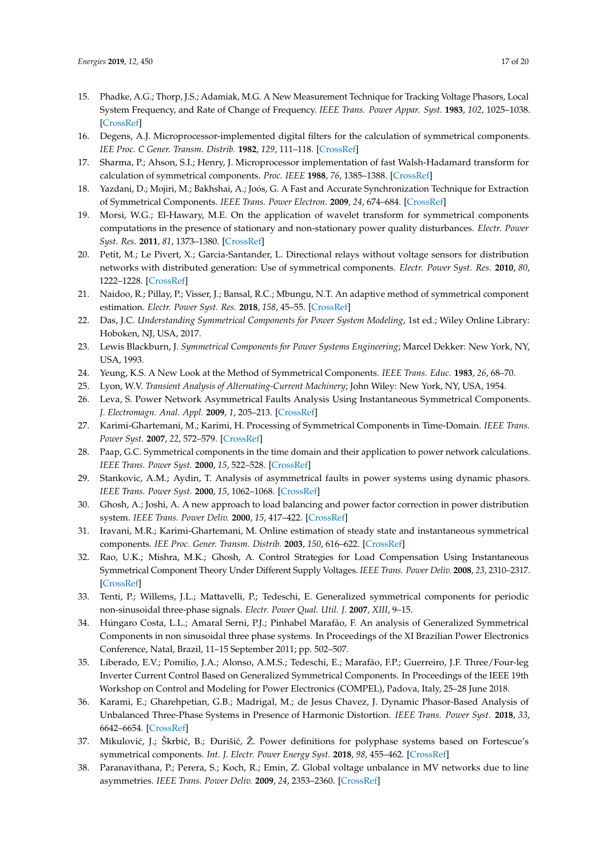- 15. Phadke, A.G.; Thorp, J.S.; Adamiak, M.G. A New Measurement Technique for Tracking Voltage Phasors, Local System Frequency, and Rate of Change of Frequency. *IEEE Trans. Power Appar. Syst.* **1983**, *102*, 1025–1038. [\[CrossRef\]](http://dx.doi.org/10.1109/TPAS.1983.318043)
- 16. Degens, A.J. Microprocessor-implemented digital filters for the calculation of symmetrical components. *IEE Proc. C Gener. Transm. Distrib.* **1982**, *129*, 111–118. [\[CrossRef\]](http://dx.doi.org/10.1049/ip-c.1982.0017)
- 17. Sharma, P.; Ahson, S.I.; Henry, J. Microprocessor implementation of fast Walsh-Hadamard transform for calculation of symmetrical components. *Proc. IEEE* **1988**, *76*, 1385–1388. [\[CrossRef\]](http://dx.doi.org/10.1109/5.16340)
- 18. Yazdani, D.; Mojiri, M.; Bakhshai, A.; Joós, G. A Fast and Accurate Synchronization Technique for Extraction of Symmetrical Components. *IEEE Trans. Power Electron.* **2009**, *24*, 674–684. [\[CrossRef\]](http://dx.doi.org/10.1109/TPEL.2008.2010321)
- 19. Morsi, W.G.; El-Hawary, M.E. On the application of wavelet transform for symmetrical components computations in the presence of stationary and non-stationary power quality disturbances. *Electr. Power Syst. Res.* **2011**, *81*, 1373–1380. [\[CrossRef\]](http://dx.doi.org/10.1016/j.epsr.2011.02.003)
- 20. Petit, M.; Le Pivert, X.; Garcia-Santander, L. Directional relays without voltage sensors for distribution networks with distributed generation: Use of symmetrical components. *Electr. Power Syst. Res.* **2010**, *80*, 1222–1228. [\[CrossRef\]](http://dx.doi.org/10.1016/j.epsr.2010.04.006)
- 21. Naidoo, R.; Pillay, P.; Visser, J.; Bansal, R.C.; Mbungu, N.T. An adaptive method of symmetrical component estimation. *Electr. Power Syst. Res.* **2018**, *158*, 45–55. [\[CrossRef\]](http://dx.doi.org/10.1016/j.epsr.2018.01.003)
- 22. Das, J.C. *Understanding Symmetrical Components for Power System Modeling*, 1st ed.; Wiley Online Library: Hoboken, NJ, USA, 2017.
- 23. Lewis Blackburn, J. *Symmetrical Components for Power Systems Engineering*; Marcel Dekker: New York, NY, USA, 1993.
- 24. Yeung, K.S. A New Look at the Method of Symmetrical Components. *IEEE Trans. Educ.* **1983**, *26*, 68–70.
- 25. Lyon, W.V. *Transient Analysis of Alternating-Current Machinery*; John Wiley: New York, NY, USA, 1954.
- 26. Leva, S. Power Network Asymmetrical Faults Analysis Using Instantaneous Symmetrical Components. *J. Electromagn. Anal. Appl.* **2009**, *1*, 205–213. [\[CrossRef\]](http://dx.doi.org/10.4236/jemaa.2009.14031)
- 27. Karimi-Ghartemani, M.; Karimi, H. Processing of Symmetrical Components in Time-Domain. *IEEE Trans. Power Syst.* **2007**, *22*, 572–579. [\[CrossRef\]](http://dx.doi.org/10.1109/TPWRS.2007.894860)
- 28. Paap, G.C. Symmetrical components in the time domain and their application to power network calculations. *IEEE Trans. Power Syst.* **2000**, *15*, 522–528. [\[CrossRef\]](http://dx.doi.org/10.1109/59.867135)
- 29. Stankovic, A.M.; Aydin, T. Analysis of asymmetrical faults in power systems using dynamic phasors. *IEEE Trans. Power Syst.* **2000**, *15*, 1062–1068. [\[CrossRef\]](http://dx.doi.org/10.1109/59.871734)
- 30. Ghosh, A.; Joshi, A. A new approach to load balancing and power factor correction in power distribution system. *IEEE Trans. Power Deliv.* **2000**, *15*, 417–422. [\[CrossRef\]](http://dx.doi.org/10.1109/61.847283)
- 31. Iravani, M.R.; Karimi-Ghartemani, M. Online estimation of steady state and instantaneous symmetrical components. *IEE Proc. Gener. Transm. Distrib.* **2003**, *150*, 616–622. [\[CrossRef\]](http://dx.doi.org/10.1049/ip-gtd:20030779)
- 32. Rao, U.K.; Mishra, M.K.; Ghosh, A. Control Strategies for Load Compensation Using Instantaneous Symmetrical Component Theory Under Different Supply Voltages. *IEEE Trans. Power Deliv.* **2008**, *23*, 2310–2317. [\[CrossRef\]](http://dx.doi.org/10.1109/TPWRD.2008.923053)
- 33. Tenti, P.; Willems, J.L.; Mattavelli, P.; Tedeschi, E. Generalized symmetrical components for periodic non-sinusoidal three-phase signals. *Electr. Power Qual. Util. J.* **2007**, *XIII*, 9–15.
- 34. Húngaro Costa, L.L.; Amaral Serni, P.J.; Pinhabel Marafão, F. An analysis of Generalized Symmetrical Components in non sinusoidal three phase systems. In Proceedings of the XI Brazilian Power Electronics Conference, Natal, Brazil, 11–15 September 2011; pp. 502–507.
- 35. Liberado, E.V.; Pomilio, J.A.; Alonso, A.M.S.; Tedeschi, E.; Marafão, F.P.; Guerreiro, J.F. Three/Four-leg Inverter Current Control Based on Generalized Symmetrical Components. In Proceedings of the IEEE 19th Workshop on Control and Modeling for Power Electronics (COMPEL), Padova, Italy, 25–28 June 2018.
- 36. Karami, E.; Gharehpetian, G.B.; Madrigal, M.; de Jesus Chavez, J. Dynamic Phasor-Based Analysis of Unbalanced Three-Phase Systems in Presence of Harmonic Distortion. *IEEE Trans. Power Syst.* **2018**, *33*, 6642–6654. [\[CrossRef\]](http://dx.doi.org/10.1109/TPWRS.2018.2835820)
- 37. Mikulović, J.; Škrbić, B.; Đurišić, Ž. Power definitions for polyphase systems based on Fortescue's symmetrical components. *Int. J. Electr. Power Energy Syst.* **2018**, *98*, 455–462. [\[CrossRef\]](http://dx.doi.org/10.1016/j.ijepes.2017.12.021)
- 38. Paranavithana, P.; Perera, S.; Koch, R.; Emin, Z. Global voltage unbalance in MV networks due to line asymmetries. *IEEE Trans. Power Deliv.* **2009**, *24*, 2353–2360. [\[CrossRef\]](http://dx.doi.org/10.1109/TPWRD.2009.2028503)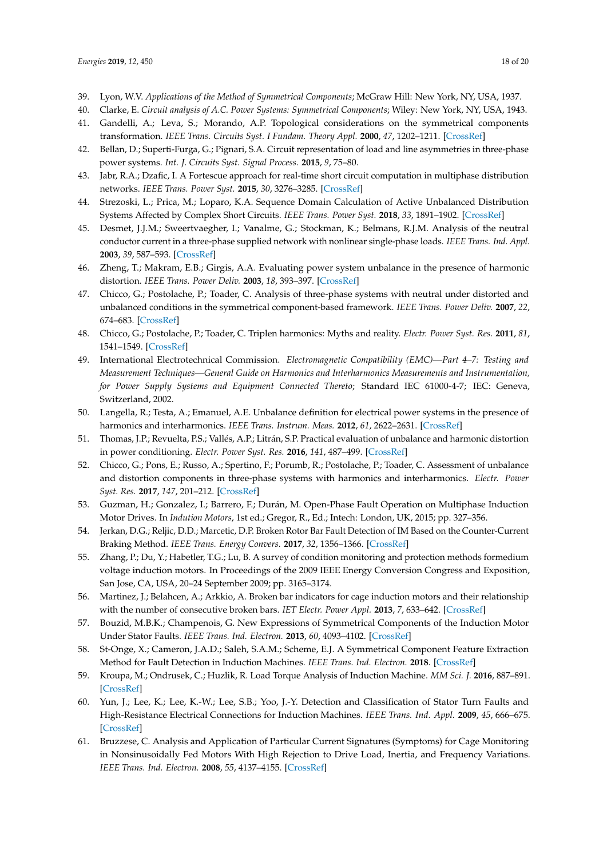- 39. Lyon, W.V. *Applications of the Method of Symmetrical Components*; McGraw Hill: New York, NY, USA, 1937.
- 40. Clarke, E. *Circuit analysis of A.C. Power Systems: Symmetrical Components*; Wiley: New York, NY, USA, 1943.
- 41. Gandelli, A.; Leva, S.; Morando, A.P. Topological considerations on the symmetrical components transformation. *IEEE Trans. Circuits Syst. I Fundam. Theory Appl.* **2000**, *47*, 1202–1211. [\[CrossRef\]](http://dx.doi.org/10.1109/81.873874)
- 42. Bellan, D.; Superti-Furga, G.; Pignari, S.A. Circuit representation of load and line asymmetries in three-phase power systems. *Int. J. Circuits Syst. Signal Process.* **2015**, *9*, 75–80.
- 43. Jabr, R.A.; Dzafic, I. A Fortescue approach for real-time short circuit computation in multiphase distribution networks. *IEEE Trans. Power Syst.* **2015**, *30*, 3276–3285. [\[CrossRef\]](http://dx.doi.org/10.1109/TPWRS.2014.2376198)
- 44. Strezoski, L.; Prica, M.; Loparo, K.A. Sequence Domain Calculation of Active Unbalanced Distribution Systems Affected by Complex Short Circuits. *IEEE Trans. Power Syst.* **2018**, *33*, 1891–1902. [\[CrossRef\]](http://dx.doi.org/10.1109/TPWRS.2017.2742019)
- 45. Desmet, J.J.M.; Sweertvaegher, I.; Vanalme, G.; Stockman, K.; Belmans, R.J.M. Analysis of the neutral conductor current in a three-phase supplied network with nonlinear single-phase loads. *IEEE Trans. Ind. Appl.* **2003**, *39*, 587–593. [\[CrossRef\]](http://dx.doi.org/10.1109/TIA.2003.810638)
- 46. Zheng, T.; Makram, E.B.; Girgis, A.A. Evaluating power system unbalance in the presence of harmonic distortion. *IEEE Trans. Power Deliv.* **2003**, *18*, 393–397. [\[CrossRef\]](http://dx.doi.org/10.1109/TPWRD.2002.807460)
- 47. Chicco, G.; Postolache, P.; Toader, C. Analysis of three-phase systems with neutral under distorted and unbalanced conditions in the symmetrical component-based framework. *IEEE Trans. Power Deliv.* **2007**, *22*, 674–683. [\[CrossRef\]](http://dx.doi.org/10.1109/TPWRD.2006.887095)
- 48. Chicco, G.; Postolache, P.; Toader, C. Triplen harmonics: Myths and reality. *Electr. Power Syst. Res.* **2011**, *81*, 1541–1549. [\[CrossRef\]](http://dx.doi.org/10.1016/j.epsr.2011.03.007)
- 49. International Electrotechnical Commission. *Electromagnetic Compatibility (EMC)—Part 4–7: Testing and Measurement Techniques—General Guide on Harmonics and Interharmonics Measurements and Instrumentation, for Power Supply Systems and Equipment Connected Thereto*; Standard IEC 61000-4-7; IEC: Geneva, Switzerland, 2002.
- 50. Langella, R.; Testa, A.; Emanuel, A.E. Unbalance definition for electrical power systems in the presence of harmonics and interharmonics. *IEEE Trans. Instrum. Meas.* **2012**, *61*, 2622–2631. [\[CrossRef\]](http://dx.doi.org/10.1109/TIM.2012.2209909)
- 51. Thomas, J.P.; Revuelta, P.S.; Vallés, A.P.; Litrán, S.P. Practical evaluation of unbalance and harmonic distortion in power conditioning. *Electr. Power Syst. Res.* **2016**, *141*, 487–499. [\[CrossRef\]](http://dx.doi.org/10.1016/j.epsr.2016.08.012)
- 52. Chicco, G.; Pons, E.; Russo, A.; Spertino, F.; Porumb, R.; Postolache, P.; Toader, C. Assessment of unbalance and distortion components in three-phase systems with harmonics and interharmonics. *Electr. Power Syst. Res.* **2017**, *147*, 201–212. [\[CrossRef\]](http://dx.doi.org/10.1016/j.epsr.2017.02.016)
- 53. Guzman, H.; Gonzalez, I.; Barrero, F.; Durán, M. Open-Phase Fault Operation on Multiphase Induction Motor Drives. In *Indution Motors*, 1st ed.; Gregor, R., Ed.; Intech: London, UK, 2015; pp. 327–356.
- 54. Jerkan, D.G.; Reljic, D.D.; Marcetic, D.P. Broken Rotor Bar Fault Detection of IM Based on the Counter-Current Braking Method. *IEEE Trans. Energy Convers.* **2017**, *32*, 1356–1366. [\[CrossRef\]](http://dx.doi.org/10.1109/TEC.2017.2696578)
- 55. Zhang, P.; Du, Y.; Habetler, T.G.; Lu, B. A survey of condition monitoring and protection methods formedium voltage induction motors. In Proceedings of the 2009 IEEE Energy Conversion Congress and Exposition, San Jose, CA, USA, 20–24 September 2009; pp. 3165–3174.
- 56. Martinez, J.; Belahcen, A.; Arkkio, A. Broken bar indicators for cage induction motors and their relationship with the number of consecutive broken bars. *IET Electr. Power Appl.* **2013**, *7*, 633–642. [\[CrossRef\]](http://dx.doi.org/10.1049/iet-epa.2012.0338)
- 57. Bouzid, M.B.K.; Champenois, G. New Expressions of Symmetrical Components of the Induction Motor Under Stator Faults. *IEEE Trans. Ind. Electron.* **2013**, *60*, 4093–4102. [\[CrossRef\]](http://dx.doi.org/10.1109/TIE.2012.2235392)
- 58. St-Onge, X.; Cameron, J.A.D.; Saleh, S.A.M.; Scheme, E.J. A Symmetrical Component Feature Extraction Method for Fault Detection in Induction Machines. *IEEE Trans. Ind. Electron.* **2018**. [\[CrossRef\]](http://dx.doi.org/10.1109/TIE.2018.2875644)
- 59. Kroupa, M.; Ondrusek, C.; Huzlik, R. Load Torque Analysis of Induction Machine. *MM Sci. J.* **2016**, 887–891. [\[CrossRef\]](http://dx.doi.org/10.17973/MMSJ.2016_03_201605)
- 60. Yun, J.; Lee, K.; Lee, K.-W.; Lee, S.B.; Yoo, J.-Y. Detection and Classification of Stator Turn Faults and High-Resistance Electrical Connections for Induction Machines. *IEEE Trans. Ind. Appl.* **2009**, *45*, 666–675. [\[CrossRef\]](http://dx.doi.org/10.1109/TIA.2009.2013557)
- 61. Bruzzese, C. Analysis and Application of Particular Current Signatures (Symptoms) for Cage Monitoring in Nonsinusoidally Fed Motors With High Rejection to Drive Load, Inertia, and Frequency Variations. *IEEE Trans. Ind. Electron.* **2008**, *55*, 4137–4155. [\[CrossRef\]](http://dx.doi.org/10.1109/TIE.2008.2004669)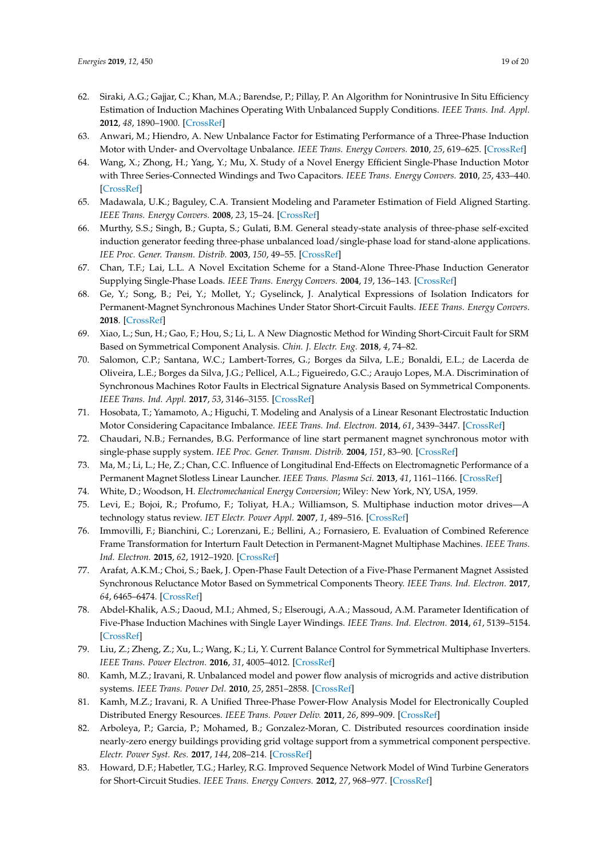- 62. Siraki, A.G.; Gajjar, C.; Khan, M.A.; Barendse, P.; Pillay, P. An Algorithm for Nonintrusive In Situ Efficiency Estimation of Induction Machines Operating With Unbalanced Supply Conditions. *IEEE Trans. Ind. Appl.* **2012**, *48*, 1890–1900. [\[CrossRef\]](http://dx.doi.org/10.1109/TIA.2012.2225813)
- 63. Anwari, M.; Hiendro, A. New Unbalance Factor for Estimating Performance of a Three-Phase Induction Motor with Under- and Overvoltage Unbalance. *IEEE Trans. Energy Convers.* **2010**, *25*, 619–625. [\[CrossRef\]](http://dx.doi.org/10.1109/TEC.2010.2051548)
- 64. Wang, X.; Zhong, H.; Yang, Y.; Mu, X. Study of a Novel Energy Efficient Single-Phase Induction Motor with Three Series-Connected Windings and Two Capacitors. *IEEE Trans. Energy Convers.* **2010**, *25*, 433–440. [\[CrossRef\]](http://dx.doi.org/10.1109/TEC.2009.2039218)
- 65. Madawala, U.K.; Baguley, C.A. Transient Modeling and Parameter Estimation of Field Aligned Starting. *IEEE Trans. Energy Convers.* **2008**, *23*, 15–24. [\[CrossRef\]](http://dx.doi.org/10.1109/TEC.2007.905063)
- 66. Murthy, S.S.; Singh, B.; Gupta, S.; Gulati, B.M. General steady-state analysis of three-phase self-excited induction generator feeding three-phase unbalanced load/single-phase load for stand-alone applications. *IEE Proc. Gener. Transm. Distrib.* **2003**, *150*, 49–55. [\[CrossRef\]](http://dx.doi.org/10.1049/ip-gtd:20030072)
- 67. Chan, T.F.; Lai, L.L. A Novel Excitation Scheme for a Stand-Alone Three-Phase Induction Generator Supplying Single-Phase Loads. *IEEE Trans. Energy Convers.* **2004**, *19*, 136–143. [\[CrossRef\]](http://dx.doi.org/10.1109/TEC.2003.822299)
- 68. Ge, Y.; Song, B.; Pei, Y.; Mollet, Y.; Gyselinck, J. Analytical Expressions of Isolation Indicators for Permanent-Magnet Synchronous Machines Under Stator Short-Circuit Faults. *IEEE Trans. Energy Convers.* **2018**. [\[CrossRef\]](http://dx.doi.org/10.1109/TEC.2018.2878343)
- 69. Xiao, L.; Sun, H.; Gao, F.; Hou, S.; Li, L. A New Diagnostic Method for Winding Short-Circuit Fault for SRM Based on Symmetrical Component Analysis. *Chin. J. Electr. Eng.* **2018**, *4*, 74–82.
- 70. Salomon, C.P.; Santana, W.C.; Lambert-Torres, G.; Borges da Silva, L.E.; Bonaldi, E.L.; de Lacerda de Oliveira, L.E.; Borges da Silva, J.G.; Pellicel, A.L.; Figueiredo, G.C.; Araujo Lopes, M.A. Discrimination of Synchronous Machines Rotor Faults in Electrical Signature Analysis Based on Symmetrical Components. *IEEE Trans. Ind. Appl.* **2017**, *53*, 3146–3155. [\[CrossRef\]](http://dx.doi.org/10.1109/TIA.2016.2613501)
- 71. Hosobata, T.; Yamamoto, A.; Higuchi, T. Modeling and Analysis of a Linear Resonant Electrostatic Induction Motor Considering Capacitance Imbalance. *IEEE Trans. Ind. Electron.* **2014**, *61*, 3439–3447. [\[CrossRef\]](http://dx.doi.org/10.1109/TIE.2013.2278962)
- 72. Chaudari, N.B.; Fernandes, B.G. Performance of line start permanent magnet synchronous motor with single-phase supply system. *IEE Proc. Gener. Transm. Distrib.* **2004**, *151*, 83–90. [\[CrossRef\]](http://dx.doi.org/10.1049/ip-epa:20030849)
- 73. Ma, M.; Li, L.; He, Z.; Chan, C.C. Influence of Longitudinal End-Effects on Electromagnetic Performance of a Permanent Magnet Slotless Linear Launcher. *IEEE Trans. Plasma Sci.* **2013**, *41*, 1161–1166. [\[CrossRef\]](http://dx.doi.org/10.1109/TPS.2013.2250523)
- 74. White, D.; Woodson, H. *Electromechanical Energy Conversion*; Wiley: New York, NY, USA, 1959.
- 75. Levi, E.; Bojoi, R.; Profumo, F.; Toliyat, H.A.; Williamson, S. Multiphase induction motor drives—A technology status review. *IET Electr. Power Appl.* **2007**, *1*, 489–516. [\[CrossRef\]](http://dx.doi.org/10.1049/iet-epa:20060342)
- 76. Immovilli, F.; Bianchini, C.; Lorenzani, E.; Bellini, A.; Fornasiero, E. Evaluation of Combined Reference Frame Transformation for Interturn Fault Detection in Permanent-Magnet Multiphase Machines. *IEEE Trans. Ind. Electron.* **2015**, *62*, 1912–1920. [\[CrossRef\]](http://dx.doi.org/10.1109/TIE.2014.2348945)
- 77. Arafat, A.K.M.; Choi, S.; Baek, J. Open-Phase Fault Detection of a Five-Phase Permanent Magnet Assisted Synchronous Reluctance Motor Based on Symmetrical Components Theory. *IEEE Trans. Ind. Electron.* **2017**, *64*, 6465–6474. [\[CrossRef\]](http://dx.doi.org/10.1109/TIE.2017.2682016)
- 78. Abdel-Khalik, A.S.; Daoud, M.I.; Ahmed, S.; Elserougi, A.A.; Massoud, A.M. Parameter Identification of Five-Phase Induction Machines with Single Layer Windings. *IEEE Trans. Ind. Electron.* **2014**, *61*, 5139–5154. [\[CrossRef\]](http://dx.doi.org/10.1109/TIE.2013.2297294)
- 79. Liu, Z.; Zheng, Z.; Xu, L.; Wang, K.; Li, Y. Current Balance Control for Symmetrical Multiphase Inverters. *IEEE Trans. Power Electron.* **2016**, *31*, 4005–4012. [\[CrossRef\]](http://dx.doi.org/10.1109/TPEL.2015.2508142)
- 80. Kamh, M.Z.; Iravani, R. Unbalanced model and power flow analysis of microgrids and active distribution systems. *IEEE Trans. Power Del.* **2010**, *25*, 2851–2858. [\[CrossRef\]](http://dx.doi.org/10.1109/TPWRD.2010.2042825)
- 81. Kamh, M.Z.; Iravani, R. A Unified Three-Phase Power-Flow Analysis Model for Electronically Coupled Distributed Energy Resources. *IEEE Trans. Power Deliv.* **2011**, *26*, 899–909. [\[CrossRef\]](http://dx.doi.org/10.1109/TPWRD.2010.2094627)
- 82. Arboleya, P.; Garcia, P.; Mohamed, B.; Gonzalez-Moran, C. Distributed resources coordination inside nearly-zero energy buildings providing grid voltage support from a symmetrical component perspective. *Electr. Power Syst. Res.* **2017**, *144*, 208–214. [\[CrossRef\]](http://dx.doi.org/10.1016/j.epsr.2016.11.011)
- 83. Howard, D.F.; Habetler, T.G.; Harley, R.G. Improved Sequence Network Model of Wind Turbine Generators for Short-Circuit Studies. *IEEE Trans. Energy Convers.* **2012**, *27*, 968–977. [\[CrossRef\]](http://dx.doi.org/10.1109/TEC.2012.2213255)